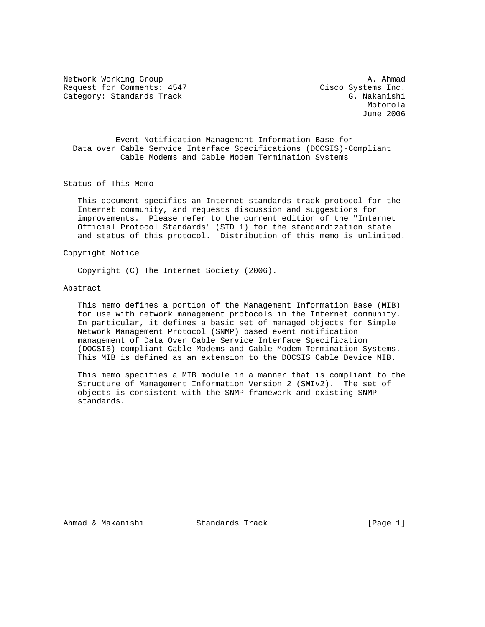Network Working Group and the set of the set of the set of the set of the set of the set of the set of the set of the set of the set of the set of the set of the set of the set of the set of the set of the set of the set o Request for Comments: 4547 Cisco Systems Inc. Category: Standards Track G. Nakanishi

 Motorola June 2006

 Event Notification Management Information Base for Data over Cable Service Interface Specifications (DOCSIS)-Compliant Cable Modems and Cable Modem Termination Systems

Status of This Memo

 This document specifies an Internet standards track protocol for the Internet community, and requests discussion and suggestions for improvements. Please refer to the current edition of the "Internet Official Protocol Standards" (STD 1) for the standardization state and status of this protocol. Distribution of this memo is unlimited.

Copyright Notice

Copyright (C) The Internet Society (2006).

#### Abstract

 This memo defines a portion of the Management Information Base (MIB) for use with network management protocols in the Internet community. In particular, it defines a basic set of managed objects for Simple Network Management Protocol (SNMP) based event notification management of Data Over Cable Service Interface Specification (DOCSIS) compliant Cable Modems and Cable Modem Termination Systems. This MIB is defined as an extension to the DOCSIS Cable Device MIB.

 This memo specifies a MIB module in a manner that is compliant to the Structure of Management Information Version 2 (SMIv2). The set of objects is consistent with the SNMP framework and existing SNMP standards.

Ahmad & Makanishi Standards Track [Page 1]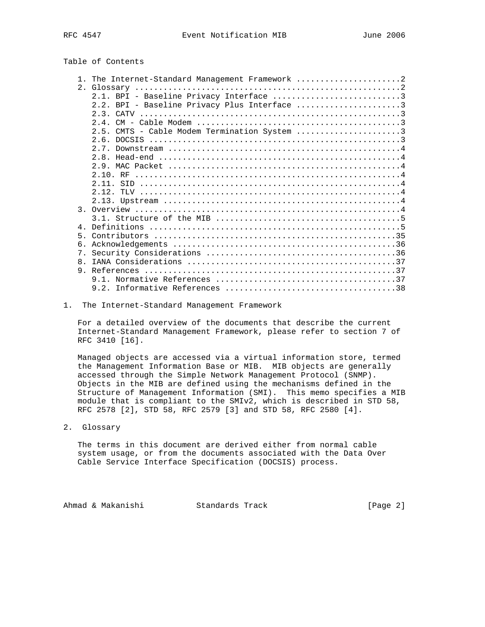## Table of Contents

|                | 1. The Internet-Standard Management Framework 2 |
|----------------|-------------------------------------------------|
|                |                                                 |
|                | 2.1. BPI - Baseline Privacy Interface 3         |
|                | 2.2. BPI - Baseline Privacy Plus Interface 3    |
|                |                                                 |
|                |                                                 |
|                | CMTS - Cable Modem Termination System 3<br>25   |
|                | 2.6.                                            |
|                |                                                 |
|                |                                                 |
|                |                                                 |
|                |                                                 |
|                |                                                 |
|                | 2.12.                                           |
|                |                                                 |
|                |                                                 |
|                |                                                 |
|                |                                                 |
| 4              |                                                 |
| 5 <sub>1</sub> |                                                 |
| б.             |                                                 |
| $7$ .          |                                                 |
| 8.             |                                                 |
| 9              |                                                 |
|                |                                                 |
|                |                                                 |

### 1. The Internet-Standard Management Framework

 For a detailed overview of the documents that describe the current Internet-Standard Management Framework, please refer to section 7 of RFC 3410 [16].

 Managed objects are accessed via a virtual information store, termed the Management Information Base or MIB. MIB objects are generally accessed through the Simple Network Management Protocol (SNMP). Objects in the MIB are defined using the mechanisms defined in the Structure of Management Information (SMI). This memo specifies a MIB module that is compliant to the SMIv2, which is described in STD 58, RFC 2578 [2], STD 58, RFC 2579 [3] and STD 58, RFC 2580 [4].

2. Glossary

 The terms in this document are derived either from normal cable system usage, or from the documents associated with the Data Over Cable Service Interface Specification (DOCSIS) process.

Ahmad & Makanishi Standards Track (Page 2)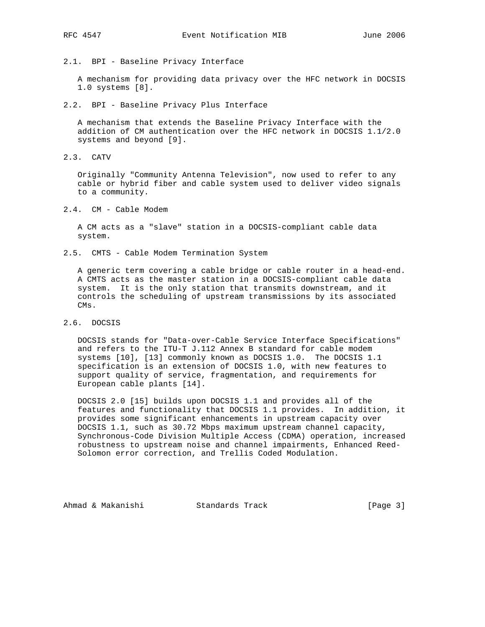2.1. BPI - Baseline Privacy Interface

 A mechanism for providing data privacy over the HFC network in DOCSIS 1.0 systems [8].

2.2. BPI - Baseline Privacy Plus Interface

 A mechanism that extends the Baseline Privacy Interface with the addition of CM authentication over the HFC network in DOCSIS 1.1/2.0 systems and beyond [9].

2.3. CATV

 Originally "Community Antenna Television", now used to refer to any cable or hybrid fiber and cable system used to deliver video signals to a community.

2.4. CM - Cable Modem

 A CM acts as a "slave" station in a DOCSIS-compliant cable data system.

2.5. CMTS - Cable Modem Termination System

 A generic term covering a cable bridge or cable router in a head-end. A CMTS acts as the master station in a DOCSIS-compliant cable data system. It is the only station that transmits downstream, and it controls the scheduling of upstream transmissions by its associated CMs.

2.6. DOCSIS

 DOCSIS stands for "Data-over-Cable Service Interface Specifications" and refers to the ITU-T J.112 Annex B standard for cable modem systems [10], [13] commonly known as DOCSIS 1.0. The DOCSIS 1.1 specification is an extension of DOCSIS 1.0, with new features to support quality of service, fragmentation, and requirements for European cable plants [14].

 DOCSIS 2.0 [15] builds upon DOCSIS 1.1 and provides all of the features and functionality that DOCSIS 1.1 provides. In addition, it provides some significant enhancements in upstream capacity over DOCSIS 1.1, such as 30.72 Mbps maximum upstream channel capacity, Synchronous-Code Division Multiple Access (CDMA) operation, increased robustness to upstream noise and channel impairments, Enhanced Reed- Solomon error correction, and Trellis Coded Modulation.

Ahmad & Makanishi Standards Track [Page 3]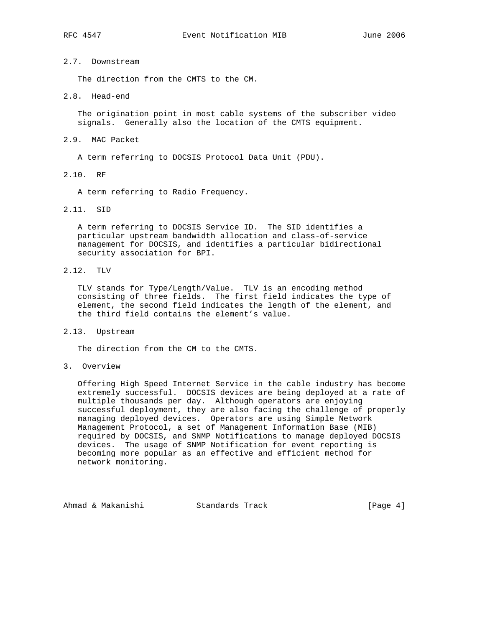# 2.7. Downstream

The direction from the CMTS to the CM.

#### 2.8. Head-end

 The origination point in most cable systems of the subscriber video signals. Generally also the location of the CMTS equipment.

## 2.9. MAC Packet

A term referring to DOCSIS Protocol Data Unit (PDU).

2.10. RF

A term referring to Radio Frequency.

2.11. SID

 A term referring to DOCSIS Service ID. The SID identifies a particular upstream bandwidth allocation and class-of-service management for DOCSIS, and identifies a particular bidirectional security association for BPI.

2.12. TLV

 TLV stands for Type/Length/Value. TLV is an encoding method consisting of three fields. The first field indicates the type of element, the second field indicates the length of the element, and the third field contains the element's value.

2.13. Upstream

The direction from the CM to the CMTS.

3. Overview

 Offering High Speed Internet Service in the cable industry has become extremely successful. DOCSIS devices are being deployed at a rate of multiple thousands per day. Although operators are enjoying successful deployment, they are also facing the challenge of properly managing deployed devices. Operators are using Simple Network Management Protocol, a set of Management Information Base (MIB) required by DOCSIS, and SNMP Notifications to manage deployed DOCSIS devices. The usage of SNMP Notification for event reporting is becoming more popular as an effective and efficient method for network monitoring.

Ahmad & Makanishi Standards Track [Page 4]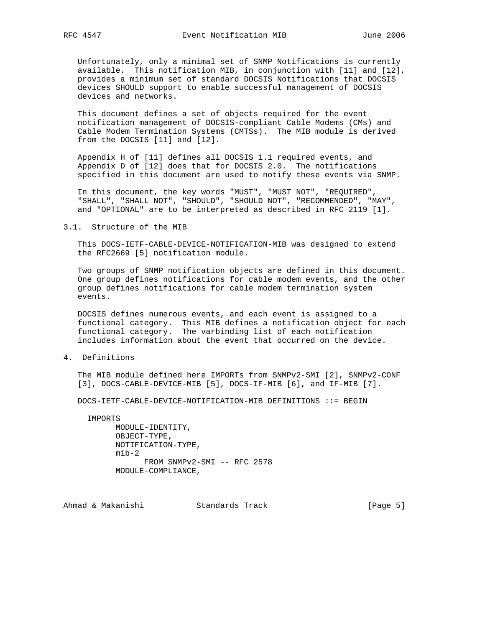Unfortunately, only a minimal set of SNMP Notifications is currently available. This notification MIB, in conjunction with [11] and [12], provides a minimum set of standard DOCSIS Notifications that DOCSIS devices SHOULD support to enable successful management of DOCSIS devices and networks.

 This document defines a set of objects required for the event notification management of DOCSIS-compliant Cable Modems (CMs) and Cable Modem Termination Systems (CMTSs). The MIB module is derived from the DOCSIS [11] and [12].

 Appendix H of [11] defines all DOCSIS 1.1 required events, and Appendix D of [12] does that for DOCSIS 2.0. The notifications specified in this document are used to notify these events via SNMP.

 In this document, the key words "MUST", "MUST NOT", "REQUIRED", "SHALL", "SHALL NOT", "SHOULD", "SHOULD NOT", "RECOMMENDED", "MAY", and "OPTIONAL" are to be interpreted as described in RFC 2119 [1].

3.1. Structure of the MIB

 This DOCS-IETF-CABLE-DEVICE-NOTIFICATION-MIB was designed to extend the RFC2669 [5] notification module.

 Two groups of SNMP notification objects are defined in this document. One group defines notifications for cable modem events, and the other group defines notifications for cable modem termination system events.

 DOCSIS defines numerous events, and each event is assigned to a functional category. This MIB defines a notification object for each functional category. The varbinding list of each notification includes information about the event that occurred on the device.

4. Definitions

 The MIB module defined here IMPORTs from SNMPv2-SMI [2], SNMPv2-CONF [3], DOCS-CABLE-DEVICE-MIB [5], DOCS-IF-MIB [6], and IF-MIB [7].

DOCS-IETF-CABLE-DEVICE-NOTIFICATION-MIB DEFINITIONS ::= BEGIN

IMPORTS

 MODULE-IDENTITY, OBJECT-TYPE, NOTIFICATION-TYPE,  $min-2$  FROM SNMPv2-SMI -- RFC 2578 MODULE-COMPLIANCE,

Ahmad & Makanishi Standards Track [Page 5]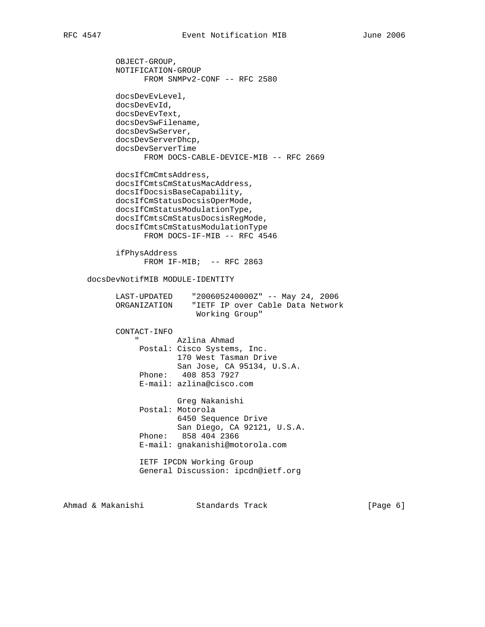OBJECT-GROUP, NOTIFICATION-GROUP FROM SNMPv2-CONF -- RFC 2580 docsDevEvLevel, docsDevEvId, docsDevEvText, docsDevSwFilename, docsDevSwServer, docsDevServerDhcp,

 docsDevServerTime FROM DOCS-CABLE-DEVICE-MIB -- RFC 2669 docsIfCmCmtsAddress,

 docsIfCmtsCmStatusMacAddress, docsIfDocsisBaseCapability, docsIfCmStatusDocsisOperMode, docsIfCmStatusModulationType, docsIfCmtsCmStatusDocsisRegMode, docsIfCmtsCmStatusModulationType FROM DOCS-IF-MIB -- RFC 4546

 ifPhysAddress FROM  $IF-MIB$ ; -- RFC 2863

docsDevNotifMIB MODULE-IDENTITY

| LAST-UPDATED | "200605240000Z" -- May 24, 2006  |  |  |
|--------------|----------------------------------|--|--|
| ORGANIZATION | "IETF IP over Cable Data Network |  |  |
|              | Working Group"                   |  |  |

CONTACT-INFO

| $\mathbf{u}$ | Azlina Ahmad                |
|--------------|-----------------------------|
|              | Postal: Cisco Systems, Inc. |
|              | 170 West Tasman Drive       |
|              | San Jose, CA 95134, U.S.A.  |
|              | Phone: 408 853 7927         |
|              | E-mail: azlina@cisco.com    |

 Greg Nakanishi Postal: Motorola 6450 Sequence Drive San Diego, CA 92121, U.S.A. Phone: 858 404 2366 E-mail: gnakanishi@motorola.com

 IETF IPCDN Working Group General Discussion: ipcdn@ietf.org

Ahmad & Makanishi Standards Track (Page 6)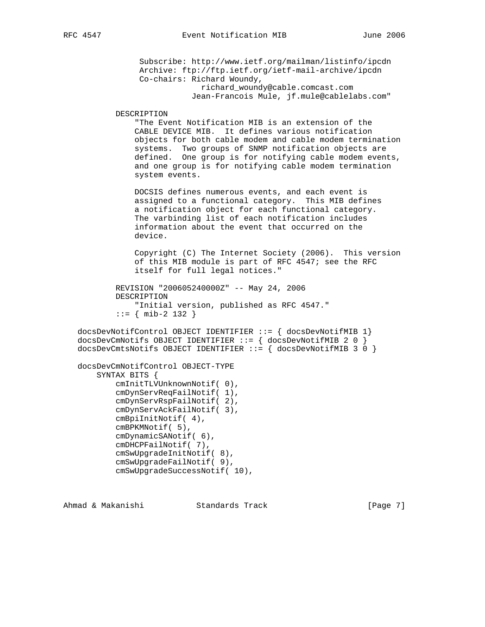Subscribe: http://www.ietf.org/mailman/listinfo/ipcdn

 Archive: ftp://ftp.ietf.org/ietf-mail-archive/ipcdn Co-chairs: Richard Woundy, richard\_woundy@cable.comcast.com Jean-Francois Mule, jf.mule@cablelabs.com" DESCRIPTION "The Event Notification MIB is an extension of the CABLE DEVICE MIB. It defines various notification objects for both cable modem and cable modem termination systems. Two groups of SNMP notification objects are defined. One group is for notifying cable modem events, and one group is for notifying cable modem termination system events. DOCSIS defines numerous events, and each event is assigned to a functional category. This MIB defines a notification object for each functional category. The varbinding list of each notification includes information about the event that occurred on the device. Copyright (C) The Internet Society (2006). This version of this MIB module is part of RFC 4547; see the RFC itself for full legal notices." REVISION "200605240000Z" -- May 24, 2006 DESCRIPTION "Initial version, published as RFC 4547." ::= { mib-2 132 } docsDevNotifControl OBJECT IDENTIFIER ::= { docsDevNotifMIB 1} docsDevCmNotifs OBJECT IDENTIFIER  $::=$  { docsDevNotifMIB 2 0 } docsDevCmtsNotifs OBJECT IDENTIFIER ::= { docsDevNotifMIB 3 0 } docsDevCmNotifControl OBJECT-TYPE SYNTAX BITS { cmInitTLVUnknownNotif( 0), cmDynServReqFailNotif( 1), cmDynServRspFailNotif( 2), cmDynServAckFailNotif( 3), cmBpiInitNotif( 4), cmBPKMNotif( 5), cmDynamicSANotif( 6), cmDHCPFailNotif( 7), cmSwUpgradeInitNotif( 8), cmSwUpgradeFailNotif( 9),

Ahmad & Makanishi Standards Track [Page 7]

cmSwUpgradeSuccessNotif( 10),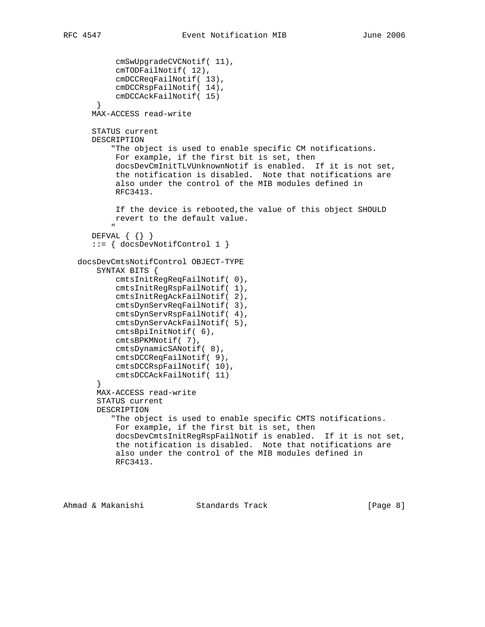```
 cmSwUpgradeCVCNotif( 11),
             cmTODFailNotif( 12),
             cmDCCReqFailNotif( 13),
             cmDCCRspFailNotif( 14),
             cmDCCAckFailNotif( 15)
         }
       MAX-ACCESS read-write
        STATUS current
       DESCRIPTION
             "The object is used to enable specific CM notifications.
             For example, if the first bit is set, then
             docsDevCmInitTLVUnknownNotif is enabled. If it is not set,
             the notification is disabled. Note that notifications are
             also under the control of the MIB modules defined in
             RFC3413.
             If the device is rebooted,the value of this object SHOULD
             revert to the default value.
" "The Contract of the Contract of the Contract of the Contract of the Contract of the Contract of the Contract of the Contract of the Contract of the Contract of the Contract of the Contract of the Contract of the Contrac
       DEFVAL \{\{\}\} ::= { docsDevNotifControl 1 }
    docsDevCmtsNotifControl OBJECT-TYPE
         SYNTAX BITS {
             cmtsInitRegReqFailNotif( 0),
             cmtsInitRegRspFailNotif( 1),
             cmtsInitRegAckFailNotif( 2),
             cmtsDynServReqFailNotif( 3),
             cmtsDynServRspFailNotif( 4),
             cmtsDynServAckFailNotif( 5),
             cmtsBpiInitNotif( 6),
             cmtsBPKMNotif( 7),
             cmtsDynamicSANotif( 8),
             cmtsDCCReqFailNotif( 9),
             cmtsDCCRspFailNotif( 10),
             cmtsDCCAckFailNotif( 11)
 }
         MAX-ACCESS read-write
         STATUS current
         DESCRIPTION
             "The object is used to enable specific CMTS notifications.
             For example, if the first bit is set, then
             docsDevCmtsInitRegRspFailNotif is enabled. If it is not set,
             the notification is disabled. Note that notifications are
             also under the control of the MIB modules defined in
             RFC3413.
```

```
Ahmad & Makanishi Standards Track [Page 8]
```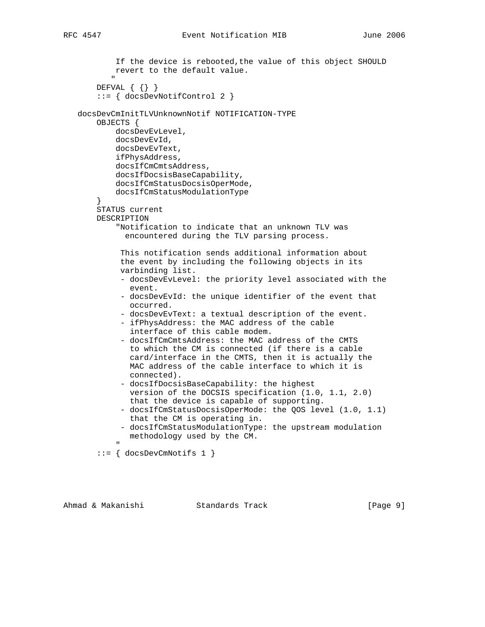```
 If the device is rebooted,the value of this object SHOULD
              revert to the default value.
" "The Contract of the Contract of the Contract of the Contract of the Contract of the Contract of the Contract of the Contract of the Contract of the Contract of the Contract of the Contract of the Contract of the Contrac
         DEFVAL { {} }
          ::= { docsDevNotifControl 2 }
    docsDevCmInitTLVUnknownNotif NOTIFICATION-TYPE
         OBJECTS {
               docsDevEvLevel,
               docsDevEvId,
               docsDevEvText,
               ifPhysAddress,
               docsIfCmCmtsAddress,
               docsIfDocsisBaseCapability,
               docsIfCmStatusDocsisOperMode,
               docsIfCmStatusModulationType
 }
          STATUS current
         DESCRIPTION
               "Notification to indicate that an unknown TLV was
                 encountered during the TLV parsing process.
                This notification sends additional information about
                the event by including the following objects in its
                varbinding list.
                - docsDevEvLevel: the priority level associated with the
                   event.
                - docsDevEvId: the unique identifier of the event that
                  occurred.
                - docsDevEvText: a textual description of the event.
                - ifPhysAddress: the MAC address of the cable
                  interface of this cable modem.
                - docsIfCmCmtsAddress: the MAC address of the CMTS
                  to which the CM is connected (if there is a cable
                   card/interface in the CMTS, then it is actually the
                  MAC address of the cable interface to which it is
                  connected).
                - docsIfDocsisBaseCapability: the highest
                   version of the DOCSIS specification (1.0, 1.1, 2.0)
                  that the device is capable of supporting.
                - docsIfCmStatusDocsisOperMode: the QOS level (1.0, 1.1)
                  that the CM is operating in.
                - docsIfCmStatusModulationType: the upstream modulation
                  methodology used by the CM.
" "The Contract of the Contract of the Contract of the Contract of the Contract of the Contract of the Contract of the Contract of the Contract of the Contract of the Contract of the Contract of the Contract of the Contrac
          ::= { docsDevCmNotifs 1 }
```
Ahmad & Makanishi Standards Track [Page 9]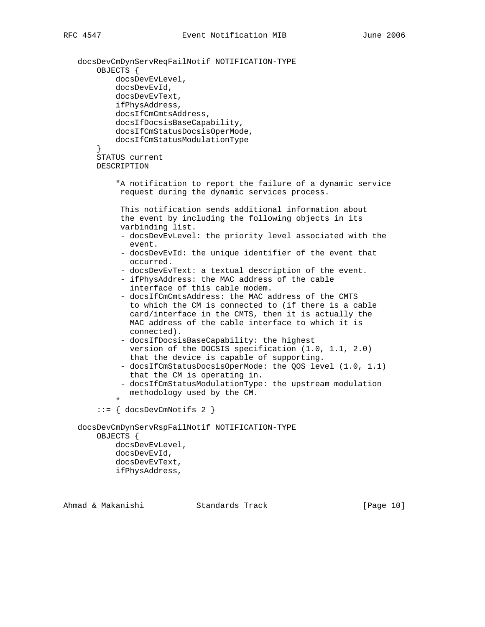```
 docsDevCmDynServReqFailNotif NOTIFICATION-TYPE
         OBJECTS {
             docsDevEvLevel,
             docsDevEvId,
             docsDevEvText,
             ifPhysAddress,
             docsIfCmCmtsAddress,
             docsIfDocsisBaseCapability,
             docsIfCmStatusDocsisOperMode,
             docsIfCmStatusModulationType
         }
         STATUS current
         DESCRIPTION
              "A notification to report the failure of a dynamic service
              request during the dynamic services process.
               This notification sends additional information about
               the event by including the following objects in its
               varbinding list.
               - docsDevEvLevel: the priority level associated with the
                 event.
               - docsDevEvId: the unique identifier of the event that
                occurred.
               - docsDevEvText: a textual description of the event.
               - ifPhysAddress: the MAC address of the cable
                 interface of this cable modem.
               - docsIfCmCmtsAddress: the MAC address of the CMTS
                 to which the CM is connected to (if there is a cable
                 card/interface in the CMTS, then it is actually the
                 MAC address of the cable interface to which it is
                connected).
               - docsIfDocsisBaseCapability: the highest
                version of the DOCSIS specification (1.0, 1.1, 2.0)
                 that the device is capable of supporting.
               - docsIfCmStatusDocsisOperMode: the QOS level (1.0, 1.1)
                 that the CM is operating in.
              - docsIfCmStatusModulationType: the upstream modulation
                 methodology used by the CM.
" "The Contract of the Contract of the Contract of the Contract of the Contract of the Contract of the Contract of the Contract of the Contract of the Contract of the Contract of the Contract of the Contract of the Contrac
         ::= { docsDevCmNotifs 2 }
    docsDevCmDynServRspFailNotif NOTIFICATION-TYPE
         OBJECTS {
             docsDevEvLevel,
             docsDevEvId,
             docsDevEvText,
             ifPhysAddress,
```
Ahmad & Makanishi Standards Track [Page 10]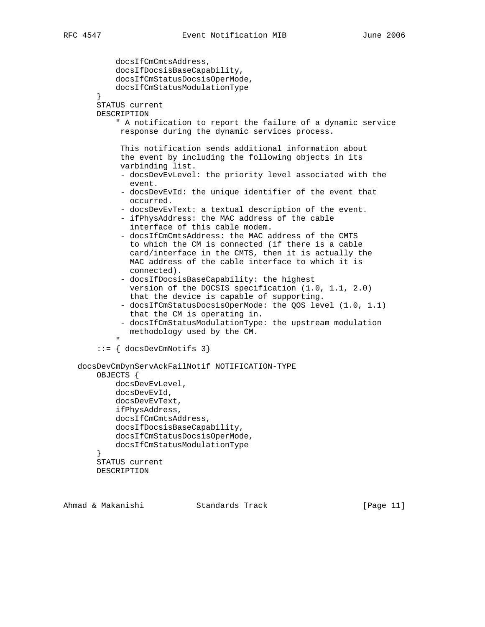```
 docsIfCmCmtsAddress,
             docsIfDocsisBaseCapability,
             docsIfCmStatusDocsisOperMode,
             docsIfCmStatusModulationType
 }
         STATUS current
        DESCRIPTION
             " A notification to report the failure of a dynamic service
              response during the dynamic services process.
              This notification sends additional information about
              the event by including the following objects in its
              varbinding list.
               - docsDevEvLevel: the priority level associated with the
                 event.
              - docsDevEvId: the unique identifier of the event that
                occurred.
               - docsDevEvText: a textual description of the event.
              - ifPhysAddress: the MAC address of the cable
                interface of this cable modem.
              - docsIfCmCmtsAddress: the MAC address of the CMTS
                to which the CM is connected (if there is a cable
                 card/interface in the CMTS, then it is actually the
                MAC address of the cable interface to which it is
                connected).
               - docsIfDocsisBaseCapability: the highest
                 version of the DOCSIS specification (1.0, 1.1, 2.0)
                 that the device is capable of supporting.
              - docsIfCmStatusDocsisOperMode: the QOS level (1.0, 1.1)
                that the CM is operating in.
              - docsIfCmStatusModulationType: the upstream modulation
               methodology used by the CM.
" "The Contract of the Contract of the Contract of the Contract of the Contract of the Contract of the Contract of the Contract of the Contract of the Contract of the Contract of the Contract of the Contract of the Contrac
         ::= { docsDevCmNotifs 3}
    docsDevCmDynServAckFailNotif NOTIFICATION-TYPE
        OBJECTS {
             docsDevEvLevel,
             docsDevEvId,
             docsDevEvText,
             ifPhysAddress,
             docsIfCmCmtsAddress,
             docsIfDocsisBaseCapability,
             docsIfCmStatusDocsisOperMode,
             docsIfCmStatusModulationType
 }
        STATUS current
```
DESCRIPTION

Ahmad & Makanishi Standards Track [Page 11]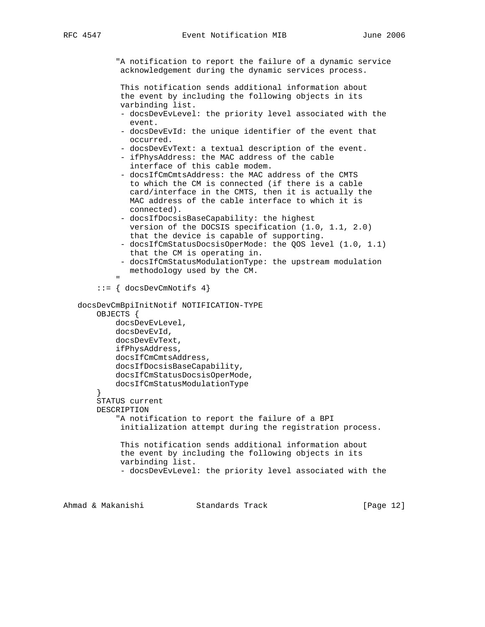"A notification to report the failure of a dynamic service acknowledgement during the dynamic services process.

 This notification sends additional information about the event by including the following objects in its varbinding list.

- docsDevEvLevel: the priority level associated with the event.
- docsDevEvId: the unique identifier of the event that occurred.
- docsDevEvText: a textual description of the event.
- ifPhysAddress: the MAC address of the cable interface of this cable modem.
- docsIfCmCmtsAddress: the MAC address of the CMTS to which the CM is connected (if there is a cable card/interface in the CMTS, then it is actually the MAC address of the cable interface to which it is connected).
- docsIfDocsisBaseCapability: the highest version of the DOCSIS specification (1.0, 1.1, 2.0) that the device is capable of supporting.
- docsIfCmStatusDocsisOperMode: the QOS level (1.0, 1.1) that the CM is operating in.
- docsIfCmStatusModulationType: the upstream modulation methodology used by the CM.

" "The Contract of the Contract of the Contract of the Contract of the Contract of the Contract of the Contract of the Contract of the Contract of the Contract of the Contract of the Contract of the Contract of the Contrac ::= { docsDevCmNotifs 4}

 docsDevCmBpiInitNotif NOTIFICATION-TYPE OBJECTS { docsDevEvLevel, docsDevEvId, docsDevEvText, ifPhysAddress, docsIfCmCmtsAddress, docsIfDocsisBaseCapability, docsIfCmStatusDocsisOperMode, docsIfCmStatusModulationType } STATUS current DESCRIPTION "A notification to report the failure of a BPI initialization attempt during the registration process. This notification sends additional information about the event by including the following objects in its varbinding list.

```
 - docsDevEvLevel: the priority level associated with the
```
Ahmad & Makanishi Standards Track [Page 12]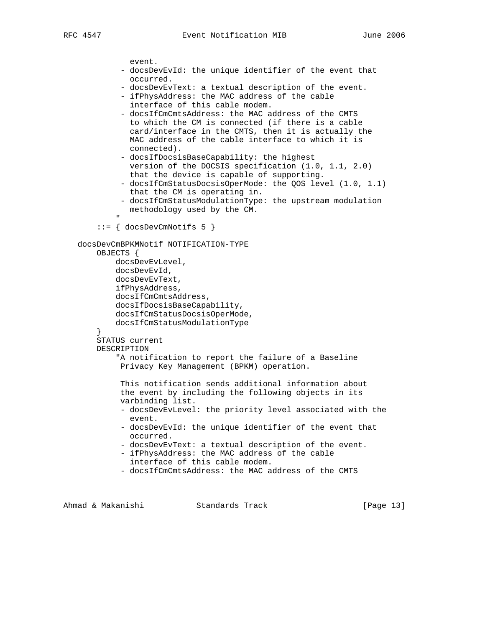```
 event.
              - docsDevEvId: the unique identifier of the event that
                occurred.
              - docsDevEvText: a textual description of the event.
              - ifPhysAddress: the MAC address of the cable
                 interface of this cable modem.
              - docsIfCmCmtsAddress: the MAC address of the CMTS
                to which the CM is connected (if there is a cable
                 card/interface in the CMTS, then it is actually the
                MAC address of the cable interface to which it is
                connected).
              - docsIfDocsisBaseCapability: the highest
                version of the DOCSIS specification (1.0, 1.1, 2.0)
                 that the device is capable of supporting.
              - docsIfCmStatusDocsisOperMode: the QOS level (1.0, 1.1)
                 that the CM is operating in.
              - docsIfCmStatusModulationType: the upstream modulation
                methodology used by the CM.
" "The Contract of the Contract of the Contract of the Contract of the Contract of the Contract of the Contract of the Contract of the Contract of the Contract of the Contract of the Contract of the Contract of the Contrac
         ::= { docsDevCmNotifs 5 }
    docsDevCmBPKMNotif NOTIFICATION-TYPE
        OBJECTS {
             docsDevEvLevel,
             docsDevEvId,
             docsDevEvText,
             ifPhysAddress,
             docsIfCmCmtsAddress,
             docsIfDocsisBaseCapability,
             docsIfCmStatusDocsisOperMode,
             docsIfCmStatusModulationType
         }
         STATUS current
        DESCRIPTION
              "A notification to report the failure of a Baseline
              Privacy Key Management (BPKM) operation.
              This notification sends additional information about
              the event by including the following objects in its
              varbinding list.
              - docsDevEvLevel: the priority level associated with the
                event.
              - docsDevEvId: the unique identifier of the event that
                occurred.
              - docsDevEvText: a textual description of the event.
              - ifPhysAddress: the MAC address of the cable
                interface of this cable modem.
              - docsIfCmCmtsAddress: the MAC address of the CMTS
```
Ahmad & Makanishi Standards Track [Page 13]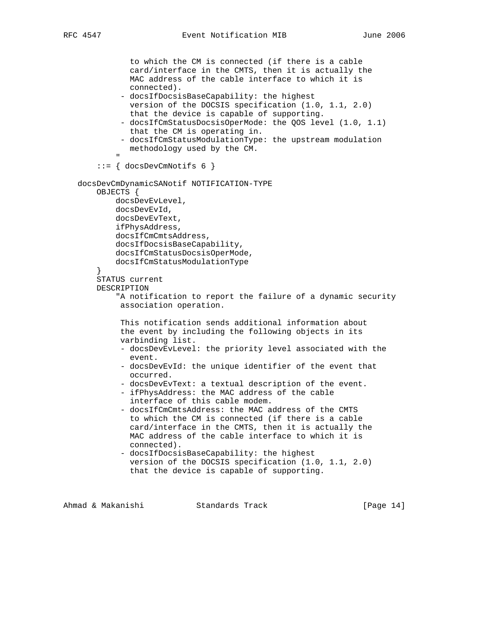```
 to which the CM is connected (if there is a cable
                 card/interface in the CMTS, then it is actually the
                 MAC address of the cable interface to which it is
                connected).
              - docsIfDocsisBaseCapability: the highest
                version of the DOCSIS specification (1.0, 1.1, 2.0)
                that the device is capable of supporting.
              - docsIfCmStatusDocsisOperMode: the QOS level (1.0, 1.1)
                that the CM is operating in.
              - docsIfCmStatusModulationType: the upstream modulation
                methodology used by the CM.
" "The Contract of the Contract of the Contract of the Contract of the Contract of the Contract of the Contract of the Contract of the Contract of the Contract of the Contract of the Contract of the Contract of the Contrac
         ::= { docsDevCmNotifs 6 }
    docsDevCmDynamicSANotif NOTIFICATION-TYPE
        OBJECTS {
             docsDevEvLevel,
             docsDevEvId,
             docsDevEvText,
             ifPhysAddress,
             docsIfCmCmtsAddress,
             docsIfDocsisBaseCapability,
             docsIfCmStatusDocsisOperMode,
             docsIfCmStatusModulationType
 }
        STATUS current
        DESCRIPTION
             "A notification to report the failure of a dynamic security
              association operation.
              This notification sends additional information about
              the event by including the following objects in its
              varbinding list.
              - docsDevEvLevel: the priority level associated with the
                event.
              - docsDevEvId: the unique identifier of the event that
                occurred.
              - docsDevEvText: a textual description of the event.
              - ifPhysAddress: the MAC address of the cable
                 interface of this cable modem.
              - docsIfCmCmtsAddress: the MAC address of the CMTS
                 to which the CM is connected (if there is a cable
                 card/interface in the CMTS, then it is actually the
                MAC address of the cable interface to which it is
                connected).
              - docsIfDocsisBaseCapability: the highest
                 version of the DOCSIS specification (1.0, 1.1, 2.0)
                 that the device is capable of supporting.
```
Ahmad & Makanishi Standards Track [Page 14]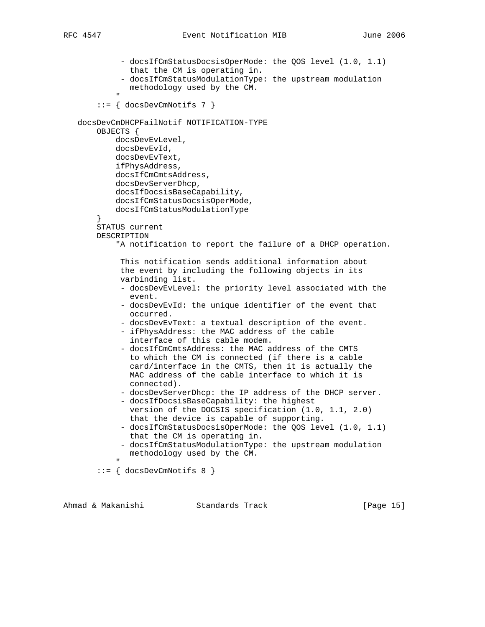- docsIfCmStatusDocsisOperMode: the QOS level (1.0, 1.1) that the CM is operating in. - docsIfCmStatusModulationType: the upstream modulation methodology used by the CM. " "The Contract of the Contract of the Contract of the Contract of the Contract of the Contract of the Contract of the Contract of the Contract of the Contract of the Contract of the Contract of the Contract of the Contrac ::= { docsDevCmNotifs 7 } docsDevCmDHCPFailNotif NOTIFICATION-TYPE OBJECTS { docsDevEvLevel, docsDevEvId, docsDevEvText, ifPhysAddress, docsIfCmCmtsAddress, docsDevServerDhcp, docsIfDocsisBaseCapability, docsIfCmStatusDocsisOperMode, docsIfCmStatusModulationType } STATUS current DESCRIPTION "A notification to report the failure of a DHCP operation. This notification sends additional information about the event by including the following objects in its varbinding list. - docsDevEvLevel: the priority level associated with the event. - docsDevEvId: the unique identifier of the event that occurred. - docsDevEvText: a textual description of the event. - ifPhysAddress: the MAC address of the cable interface of this cable modem. - docsIfCmCmtsAddress: the MAC address of the CMTS to which the CM is connected (if there is a cable card/interface in the CMTS, then it is actually the MAC address of the cable interface to which it is connected). - docsDevServerDhcp: the IP address of the DHCP server. - docsIfDocsisBaseCapability: the highest version of the DOCSIS specification (1.0, 1.1, 2.0) that the device is capable of supporting. - docsIfCmStatusDocsisOperMode: the QOS level (1.0, 1.1) that the CM is operating in. - docsIfCmStatusModulationType: the upstream modulation methodology used by the CM. " "The Contract of the Contract of the Contract of the Contract of the Contract of the Contract of the Contract of the Contract of the Contract of the Contract of the Contract of the Contract of the Contract of the Contrac ::= { docsDevCmNotifs 8 }

Ahmad & Makanishi Standards Track [Page 15]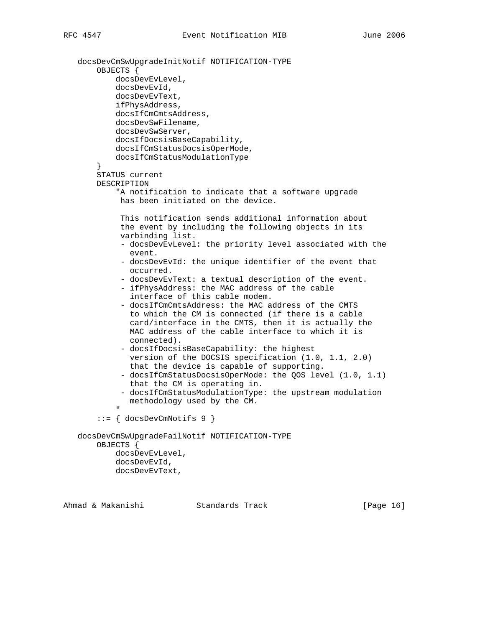docsDevCmSwUpgradeInitNotif NOTIFICATION-TYPE OBJECTS { docsDevEvLevel, docsDevEvId, docsDevEvText, ifPhysAddress, docsIfCmCmtsAddress, docsDevSwFilename, docsDevSwServer, docsIfDocsisBaseCapability, docsIfCmStatusDocsisOperMode, docsIfCmStatusModulationType } STATUS current DESCRIPTION "A notification to indicate that a software upgrade has been initiated on the device. This notification sends additional information about the event by including the following objects in its varbinding list. - docsDevEvLevel: the priority level associated with the event. - docsDevEvId: the unique identifier of the event that occurred. - docsDevEvText: a textual description of the event. - ifPhysAddress: the MAC address of the cable interface of this cable modem. - docsIfCmCmtsAddress: the MAC address of the CMTS to which the CM is connected (if there is a cable card/interface in the CMTS, then it is actually the MAC address of the cable interface to which it is connected). - docsIfDocsisBaseCapability: the highest version of the DOCSIS specification (1.0, 1.1, 2.0) that the device is capable of supporting. - docsIfCmStatusDocsisOperMode: the QOS level (1.0, 1.1) that the CM is operating in. - docsIfCmStatusModulationType: the upstream modulation methodology used by the CM. " "The Contract of the Contract of the Contract of the Contract of the Contract of the Contract of the Contract of the Contract of the Contract of the Contract of the Contract of the Contract of the Contract of the Contrac ::= { docsDevCmNotifs 9 } docsDevCmSwUpgradeFailNotif NOTIFICATION-TYPE OBJECTS { docsDevEvLevel, docsDevEvId, docsDevEvText,

Ahmad & Makanishi Standards Track [Page 16]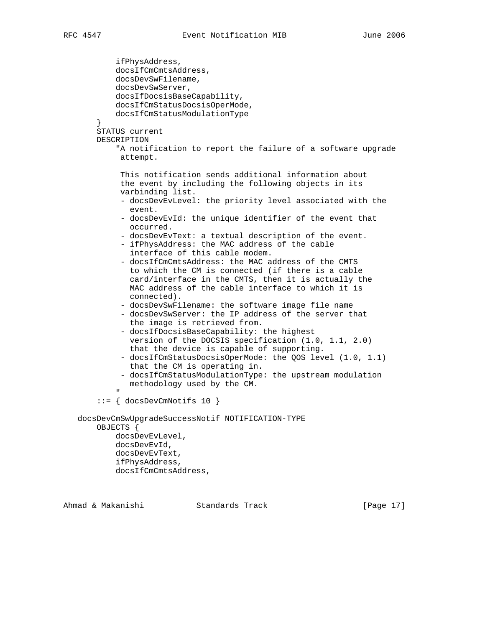```
 ifPhysAddress,
             docsIfCmCmtsAddress,
             docsDevSwFilename,
             docsDevSwServer,
             docsIfDocsisBaseCapability,
             docsIfCmStatusDocsisOperMode,
             docsIfCmStatusModulationType
 }
         STATUS current
        DESCRIPTION
             "A notification to report the failure of a software upgrade
              attempt.
              This notification sends additional information about
              the event by including the following objects in its
              varbinding list.
              - docsDevEvLevel: the priority level associated with the
                event.
              - docsDevEvId: the unique identifier of the event that
                occurred.
              - docsDevEvText: a textual description of the event.
              - ifPhysAddress: the MAC address of the cable
                interface of this cable modem.
              - docsIfCmCmtsAddress: the MAC address of the CMTS
                 to which the CM is connected (if there is a cable
                 card/interface in the CMTS, then it is actually the
                MAC address of the cable interface to which it is
                connected).
               - docsDevSwFilename: the software image file name
               - docsDevSwServer: the IP address of the server that
                the image is retrieved from.
              - docsIfDocsisBaseCapability: the highest
                version of the DOCSIS specification (1.0, 1.1, 2.0)
                that the device is capable of supporting.
              - docsIfCmStatusDocsisOperMode: the QOS level (1.0, 1.1)
                that the CM is operating in.
              - docsIfCmStatusModulationType: the upstream modulation
                methodology used by the CM.
" "The Contract of the Contract of the Contract of the Contract of the Contract of the Contract of the Contract of the Contract of the Contract of the Contract of the Contract of the Contract of the Contract of the Contrac
         ::= { docsDevCmNotifs 10 }
    docsDevCmSwUpgradeSuccessNotif NOTIFICATION-TYPE
         OBJECTS {
             docsDevEvLevel,
             docsDevEvId,
             docsDevEvText,
             ifPhysAddress,
             docsIfCmCmtsAddress,
```
Ahmad & Makanishi Standards Track [Page 17]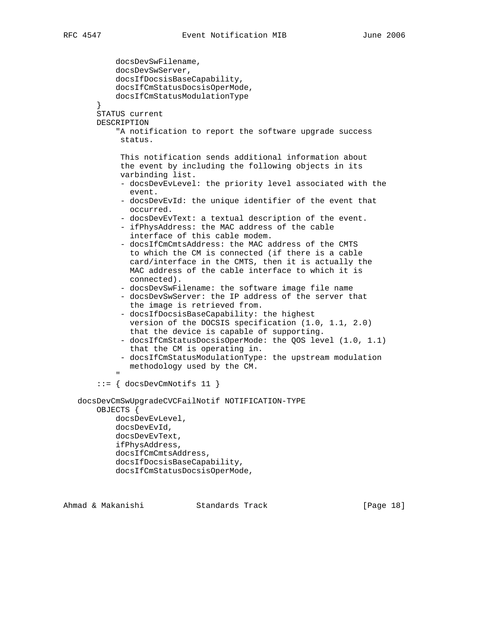| docsDevSwFilename,<br>docsDevSwServer,                                                                                                                                                                                                                                                                                               |  |
|--------------------------------------------------------------------------------------------------------------------------------------------------------------------------------------------------------------------------------------------------------------------------------------------------------------------------------------|--|
| docsIfDocsisBaseCapability,                                                                                                                                                                                                                                                                                                          |  |
| docsIfCmStatusDocsisOperMode,                                                                                                                                                                                                                                                                                                        |  |
| docsIfCmStatusModulationType                                                                                                                                                                                                                                                                                                         |  |
| }<br>STATUS current                                                                                                                                                                                                                                                                                                                  |  |
| DESCRIPTION                                                                                                                                                                                                                                                                                                                          |  |
| "A notification to report the software upgrade success                                                                                                                                                                                                                                                                               |  |
| status.                                                                                                                                                                                                                                                                                                                              |  |
| This notification sends additional information about<br>the event by including the following objects in its<br>varbinding list.                                                                                                                                                                                                      |  |
| - docsDevEvLevel: the priority level associated with the<br>event.                                                                                                                                                                                                                                                                   |  |
| - docsDevEvId: the unique identifier of the event that<br>occurred.                                                                                                                                                                                                                                                                  |  |
| - docsDevEvText: a textual description of the event.<br>- ifPhysAddress: the MAC address of the cable<br>interface of this cable modem.                                                                                                                                                                                              |  |
| - docsIfCmCmtsAddress: the MAC address of the CMTS<br>to which the CM is connected (if there is a cable<br>card/interface in the CMTS, then it is actually the<br>MAC address of the cable interface to which it is<br>connected).                                                                                                   |  |
| - docsDevSwFilename: the software image file name<br>- docsDevSwServer: the IP address of the server that                                                                                                                                                                                                                            |  |
| the image is retrieved from.<br>- docsIfDocsisBaseCapability: the highest<br>version of the DOCSIS specification (1.0, 1.1, 2.0)<br>that the device is capable of supporting.<br>- docsIfCmStatusDocsisOperMode: the QOS level (1.0, 1.1)<br>that the CM is operating in.<br>- docsIfCmStatusModulationType: the upstream modulation |  |
| methodology used by the CM.                                                                                                                                                                                                                                                                                                          |  |
| $::= \{$ docsDevCmNotifs 11 $\}$                                                                                                                                                                                                                                                                                                     |  |
| docsDevCmSwUpgradeCVCFailNotif NOTIFICATION-TYPE<br>OBJECTS {                                                                                                                                                                                                                                                                        |  |
| docsDevEvLevel,                                                                                                                                                                                                                                                                                                                      |  |
| docsDevEvId,<br>docsDevEvText,                                                                                                                                                                                                                                                                                                       |  |
| ifPhysAddress,                                                                                                                                                                                                                                                                                                                       |  |
| docsIfCmCmtsAddress,                                                                                                                                                                                                                                                                                                                 |  |
| docsIfDocsisBaseCapability,                                                                                                                                                                                                                                                                                                          |  |
| docsIfCmStatusDocsisOperMode,                                                                                                                                                                                                                                                                                                        |  |
|                                                                                                                                                                                                                                                                                                                                      |  |

Ahmad & Makanishi Standards Track [Page 18]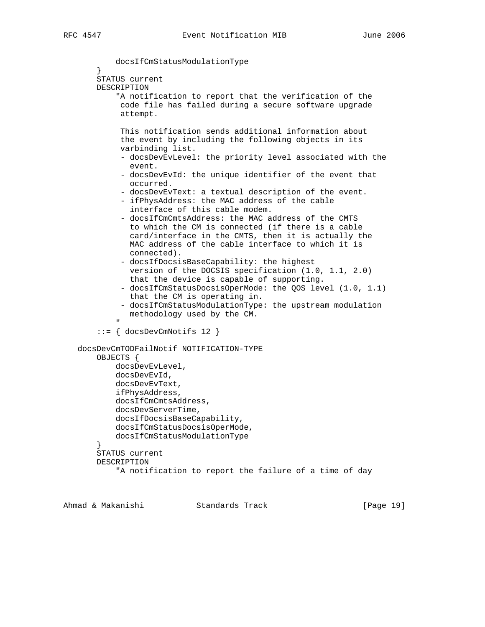```
 docsIfCmStatusModulationType
 }
         STATUS current
         DESCRIPTION
              "A notification to report that the verification of the
              code file has failed during a secure software upgrade
              attempt.
              This notification sends additional information about
              the event by including the following objects in its
              varbinding list.
               - docsDevEvLevel: the priority level associated with the
                event.
              - docsDevEvId: the unique identifier of the event that
                 occurred.
               - docsDevEvText: a textual description of the event.
              - ifPhysAddress: the MAC address of the cable
                 interface of this cable modem.
              - docsIfCmCmtsAddress: the MAC address of the CMTS
                to which the CM is connected (if there is a cable
                 card/interface in the CMTS, then it is actually the
                MAC address of the cable interface to which it is
                connected).
               - docsIfDocsisBaseCapability: the highest
                 version of the DOCSIS specification (1.0, 1.1, 2.0)
                 that the device is capable of supporting.
               - docsIfCmStatusDocsisOperMode: the QOS level (1.0, 1.1)
                 that the CM is operating in.
              - docsIfCmStatusModulationType: the upstream modulation
                methodology used by the CM.
" "The Contract of the Contract of the Contract of the Contract of the Contract of the Contract of the Contract of the Contract of the Contract of the Contract of the Contract of the Contract of the Contract of the Contrac
        ::= { docsDevCmNotifs 12 }
    docsDevCmTODFailNotif NOTIFICATION-TYPE
        OBJECTS {
             docsDevEvLevel,
             docsDevEvId,
             docsDevEvText,
             ifPhysAddress,
             docsIfCmCmtsAddress,
             docsDevServerTime,
             docsIfDocsisBaseCapability,
             docsIfCmStatusDocsisOperMode,
             docsIfCmStatusModulationType
         }
        STATUS current
        DESCRIPTION
              "A notification to report the failure of a time of day
```
Ahmad & Makanishi Standards Track [Page 19]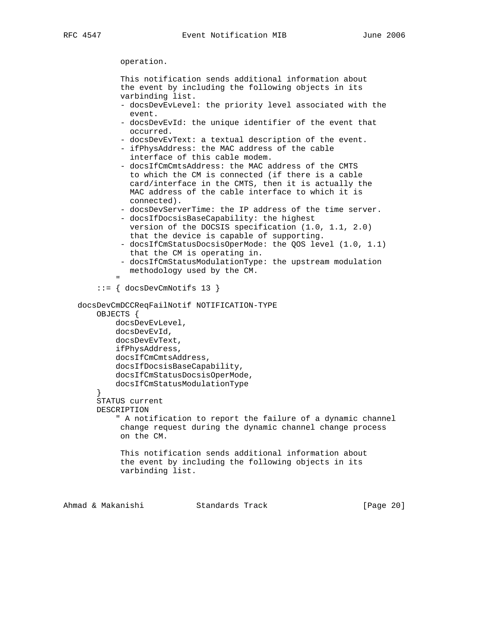operation.

 This notification sends additional information about the event by including the following objects in its varbinding list.

- docsDevEvLevel: the priority level associated with the event.
- docsDevEvId: the unique identifier of the event that occurred.
- docsDevEvText: a textual description of the event.
- ifPhysAddress: the MAC address of the cable interface of this cable modem.
- docsIfCmCmtsAddress: the MAC address of the CMTS to which the CM is connected (if there is a cable card/interface in the CMTS, then it is actually the MAC address of the cable interface to which it is connected).
- docsDevServerTime: the IP address of the time server.
- docsIfDocsisBaseCapability: the highest version of the DOCSIS specification (1.0, 1.1, 2.0) that the device is capable of supporting.
- docsIfCmStatusDocsisOperMode: the QOS level (1.0, 1.1) that the CM is operating in.
- docsIfCmStatusModulationType: the upstream modulation methodology used by the CM.
- " "The Contract of the Contract of the Contract of the Contract of the Contract of the Contract of the Contract of the Contract of the Contract of the Contract of the Contract of the Contract of the Contract of the Contrac ::= { docsDevCmNotifs 13 }

 docsDevCmDCCReqFailNotif NOTIFICATION-TYPE OBJECTS {

```
 docsDevEvLevel,
 docsDevEvId,
 docsDevEvText,
 ifPhysAddress,
 docsIfCmCmtsAddress,
 docsIfDocsisBaseCapability,
 docsIfCmStatusDocsisOperMode,
 docsIfCmStatusModulationType
```
 } STATUS current DESCRIPTION

" A notification to report the failure of a dynamic channel

 change request during the dynamic channel change process on the CM.

 This notification sends additional information about the event by including the following objects in its varbinding list.

Ahmad & Makanishi Standards Track [Page 20]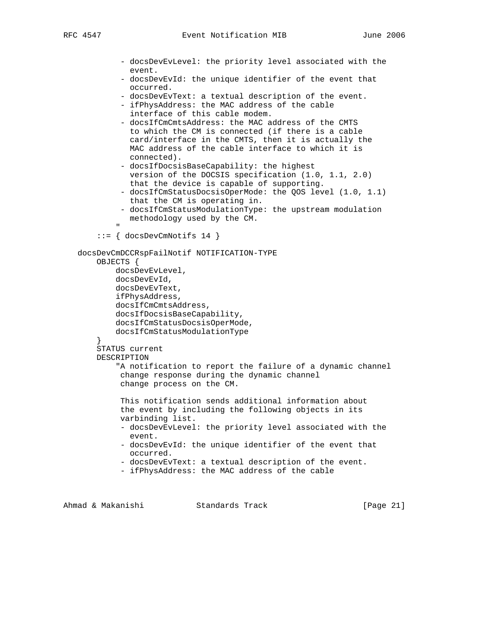```
 - docsDevEvLevel: the priority level associated with the
                 event.
              - docsDevEvId: the unique identifier of the event that
                occurred.
              - docsDevEvText: a textual description of the event.
              - ifPhysAddress: the MAC address of the cable
                 interface of this cable modem.
              - docsIfCmCmtsAddress: the MAC address of the CMTS
                to which the CM is connected (if there is a cable
                 card/interface in the CMTS, then it is actually the
                MAC address of the cable interface to which it is
                connected).
              - docsIfDocsisBaseCapability: the highest
                 version of the DOCSIS specification (1.0, 1.1, 2.0)
                 that the device is capable of supporting.
              - docsIfCmStatusDocsisOperMode: the QOS level (1.0, 1.1)
                that the CM is operating in.
              - docsIfCmStatusModulationType: the upstream modulation
                methodology used by the CM.
" "The Contract of the Contract of the Contract of the Contract of the Contract of the Contract of the Contract of the Contract of the Contract of the Contract of the Contract of the Contract of the Contract of the Contrac
         ::= { docsDevCmNotifs 14 }
    docsDevCmDCCRspFailNotif NOTIFICATION-TYPE
         OBJECTS {
             docsDevEvLevel,
             docsDevEvId,
             docsDevEvText,
             ifPhysAddress,
             docsIfCmCmtsAddress,
             docsIfDocsisBaseCapability,
             docsIfCmStatusDocsisOperMode,
             docsIfCmStatusModulationType
         }
        STATUS current
        DESCRIPTION
             "A notification to report the failure of a dynamic channel
              change response during the dynamic channel
              change process on the CM.
              This notification sends additional information about
              the event by including the following objects in its
              varbinding list.
              - docsDevEvLevel: the priority level associated with the
                event.
              - docsDevEvId: the unique identifier of the event that
                occurred.
              - docsDevEvText: a textual description of the event.
              - ifPhysAddress: the MAC address of the cable
```
Ahmad & Makanishi Standards Track [Page 21]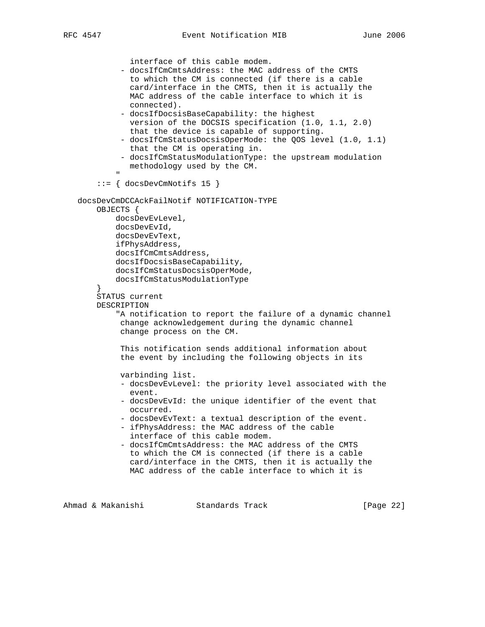```
 interface of this cable modem.
              - docsIfCmCmtsAddress: the MAC address of the CMTS
                 to which the CM is connected (if there is a cable
                 card/interface in the CMTS, then it is actually the
                MAC address of the cable interface to which it is
                connected).
              - docsIfDocsisBaseCapability: the highest
                version of the DOCSIS specification (1.0, 1.1, 2.0)
                that the device is capable of supporting.
              - docsIfCmStatusDocsisOperMode: the QOS level (1.0, 1.1)
                that the CM is operating in.
              - docsIfCmStatusModulationType: the upstream modulation
                methodology used by the CM.
" "The Contract of the Contract of the Contract of the Contract of the Contract of the Contract of the Contract of the Contract of the Contract of the Contract of the Contract of the Contract of the Contract of the Contrac
         ::= { docsDevCmNotifs 15 }
    docsDevCmDCCAckFailNotif NOTIFICATION-TYPE
        OBJECTS {
             docsDevEvLevel,
             docsDevEvId,
             docsDevEvText,
             ifPhysAddress,
             docsIfCmCmtsAddress,
             docsIfDocsisBaseCapability,
             docsIfCmStatusDocsisOperMode,
             docsIfCmStatusModulationType
 }
        STATUS current
        DESCRIPTION
             "A notification to report the failure of a dynamic channel
              change acknowledgement during the dynamic channel
              change process on the CM.
              This notification sends additional information about
              the event by including the following objects in its
              varbinding list.
              - docsDevEvLevel: the priority level associated with the
                 event.
              - docsDevEvId: the unique identifier of the event that
                occurred.
              - docsDevEvText: a textual description of the event.
              - ifPhysAddress: the MAC address of the cable
                interface of this cable modem.
              - docsIfCmCmtsAddress: the MAC address of the CMTS
                 to which the CM is connected (if there is a cable
                 card/interface in the CMTS, then it is actually the
                MAC address of the cable interface to which it is
```
Ahmad & Makanishi Standards Track [Page 22]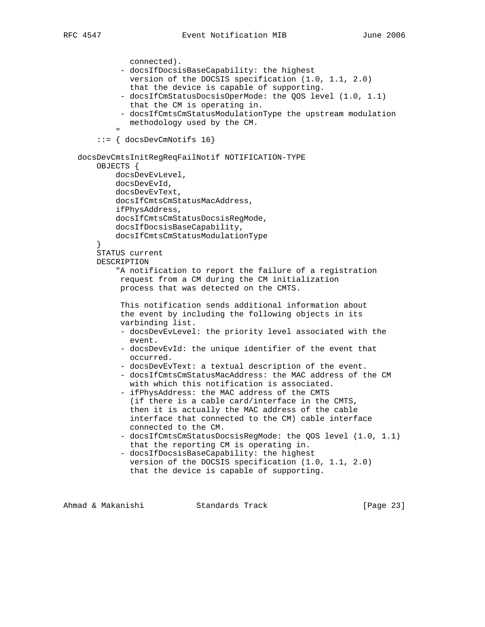```
 connected).
              - docsIfDocsisBaseCapability: the highest
                version of the DOCSIS specification (1.0, 1.1, 2.0)
                that the device is capable of supporting.
              - docsIfCmStatusDocsisOperMode: the QOS level (1.0, 1.1)
                that the CM is operating in.
              - docsIfCmtsCmStatusModulationType the upstream modulation
                methodology used by the CM.
" "The Contract of the Contract of the Contract of the Contract of the Contract of the Contract of the Contract of the Contract of the Contract of the Contract of the Contract of the Contract of the Contract of the Contrac
         ::= { docsDevCmNotifs 16}
    docsDevCmtsInitRegReqFailNotif NOTIFICATION-TYPE
        OBJECTS {
             docsDevEvLevel,
             docsDevEvId,
             docsDevEvText,
             docsIfCmtsCmStatusMacAddress,
             ifPhysAddress,
             docsIfCmtsCmStatusDocsisRegMode,
             docsIfDocsisBaseCapability,
             docsIfCmtsCmStatusModulationType
 }
        STATUS current
        DESCRIPTION
             "A notification to report the failure of a registration
              request from a CM during the CM initialization
              process that was detected on the CMTS.
              This notification sends additional information about
              the event by including the following objects in its
              varbinding list.
              - docsDevEvLevel: the priority level associated with the
                event.
              - docsDevEvId: the unique identifier of the event that
                occurred.
              - docsDevEvText: a textual description of the event.
              - docsIfCmtsCmStatusMacAddress: the MAC address of the CM
                with which this notification is associated.
              - ifPhysAddress: the MAC address of the CMTS
                (if there is a cable card/interface in the CMTS,
                then it is actually the MAC address of the cable
                interface that connected to the CM) cable interface
                connected to the CM.
              - docsIfCmtsCmStatusDocsisRegMode: the QOS level (1.0, 1.1)
                that the reporting CM is operating in.
              - docsIfDocsisBaseCapability: the highest
                version of the DOCSIS specification (1.0, 1.1, 2.0)
                that the device is capable of supporting.
```
Ahmad & Makanishi Standards Track [Page 23]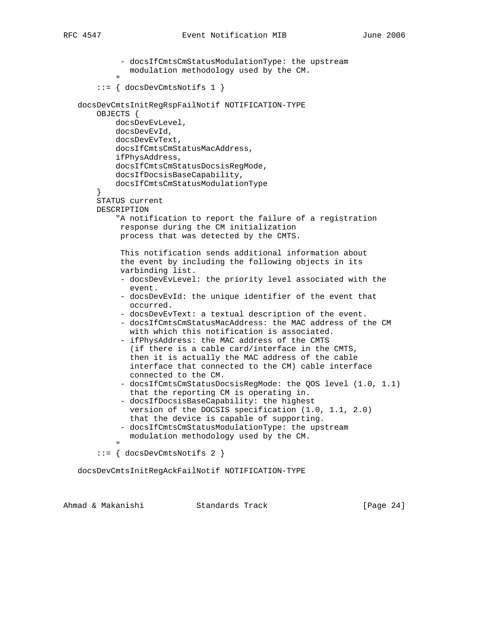```
 - docsIfCmtsCmStatusModulationType: the upstream
                   modulation methodology used by the CM.
" "The Contract of the Contract of the Contract of the Contract of the Contract of the Contract of the Contract of the Contract of the Contract of the Contract of the Contract of the Contract of the Contract of the Contrac
          ::= { docsDevCmtsNotifs 1 }
    docsDevCmtsInitRegRspFailNotif NOTIFICATION-TYPE
         OBJECTS {
              docsDevEvLevel,
               docsDevEvId,
               docsDevEvText,
               docsIfCmtsCmStatusMacAddress,
               ifPhysAddress,
               docsIfCmtsCmStatusDocsisRegMode,
               docsIfDocsisBaseCapability,
               docsIfCmtsCmStatusModulationType
 }
         STATUS current
         DESCRIPTION
               "A notification to report the failure of a registration
                response during the CM initialization
                process that was detected by the CMTS.
                This notification sends additional information about
                the event by including the following objects in its
                varbinding list.
                - docsDevEvLevel: the priority level associated with the
                   event.
                - docsDevEvId: the unique identifier of the event that
                  occurred.
                - docsDevEvText: a textual description of the event.
                - docsIfCmtsCmStatusMacAddress: the MAC address of the CM
                  with which this notification is associated.
                - ifPhysAddress: the MAC address of the CMTS
                  (if there is a cable card/interface in the CMTS,
                   then it is actually the MAC address of the cable
                   interface that connected to the CM) cable interface
                   connected to the CM.
                - docsIfCmtsCmStatusDocsisRegMode: the QOS level (1.0, 1.1)
                   that the reporting CM is operating in.
                - docsIfDocsisBaseCapability: the highest
                  version of the DOCSIS specification (1.0, 1.1, 2.0)
                  that the device is capable of supporting.
                - docsIfCmtsCmStatusModulationType: the upstream
                  modulation methodology used by the CM.
" "The Contract of the Contract of the Contract of the Contract of the Contract of the Contract of the Contract of the Contract of the Contract of the Contract of the Contract of the Contract of the Contract of the Contrac
          ::= { docsDevCmtsNotifs 2 }
```
docsDevCmtsInitRegAckFailNotif NOTIFICATION-TYPE

|  | Ahmad & Makanishi | Standards Track | [Page $24$ ] |  |
|--|-------------------|-----------------|--------------|--|
|  |                   |                 |              |  |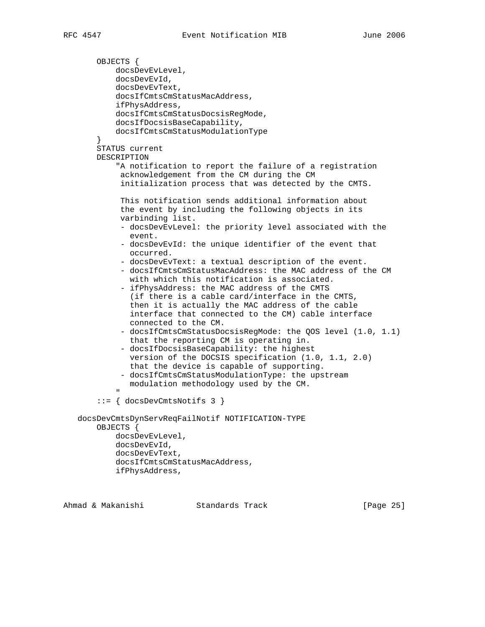```
 OBJECTS {
             docsDevEvLevel,
             docsDevEvId,
             docsDevEvText,
             docsIfCmtsCmStatusMacAddress,
             ifPhysAddress,
             docsIfCmtsCmStatusDocsisRegMode,
             docsIfDocsisBaseCapability,
             docsIfCmtsCmStatusModulationType
         }
        STATUS current
        DESCRIPTION
              "A notification to report the failure of a registration
              acknowledgement from the CM during the CM
               initialization process that was detected by the CMTS.
              This notification sends additional information about
              the event by including the following objects in its
              varbinding list.
              - docsDevEvLevel: the priority level associated with the
                event.
              - docsDevEvId: the unique identifier of the event that
                occurred.
               - docsDevEvText: a textual description of the event.
              - docsIfCmtsCmStatusMacAddress: the MAC address of the CM
                 with which this notification is associated.
               - ifPhysAddress: the MAC address of the CMTS
                 (if there is a cable card/interface in the CMTS,
                 then it is actually the MAC address of the cable
                 interface that connected to the CM) cable interface
                 connected to the CM.
               - docsIfCmtsCmStatusDocsisRegMode: the QOS level (1.0, 1.1)
                that the reporting CM is operating in.
               - docsIfDocsisBaseCapability: the highest
                version of the DOCSIS specification (1.0, 1.1, 2.0)
                 that the device is capable of supporting.
              - docsIfCmtsCmStatusModulationType: the upstream
                 modulation methodology used by the CM.
" "The Contract of the Contract of the Contract of the Contract of the Contract of the Contract of the Contract of the Contract of the Contract of the Contract of the Contract of the Contract of the Contract of the Contrac
         ::= { docsDevCmtsNotifs 3 }
    docsDevCmtsDynServReqFailNotif NOTIFICATION-TYPE
         OBJECTS {
             docsDevEvLevel,
             docsDevEvId,
             docsDevEvText,
             docsIfCmtsCmStatusMacAddress,
             ifPhysAddress,
```
Ahmad & Makanishi Standards Track [Page 25]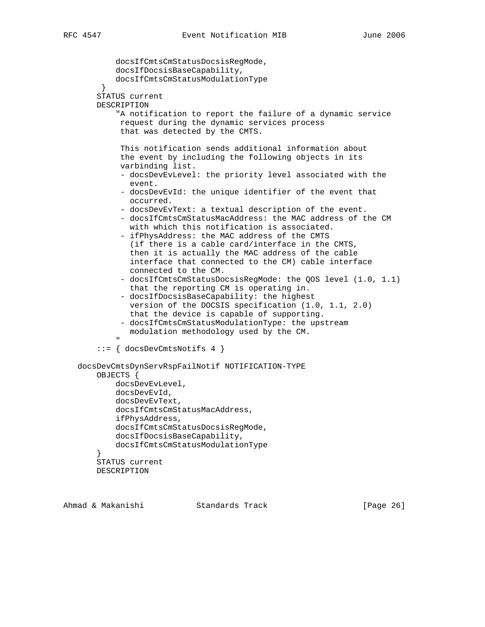```
 docsIfCmtsCmStatusDocsisRegMode,
             docsIfDocsisBaseCapability,
             docsIfCmtsCmStatusModulationType
 }
         STATUS current
        DESCRIPTION
             "A notification to report the failure of a dynamic service
              request during the dynamic services process
              that was detected by the CMTS.
              This notification sends additional information about
              the event by including the following objects in its
              varbinding list.
              - docsDevEvLevel: the priority level associated with the
                 event.
              - docsDevEvId: the unique identifier of the event that
                occurred.
              - docsDevEvText: a textual description of the event.
              - docsIfCmtsCmStatusMacAddress: the MAC address of the CM
                with which this notification is associated.
              - ifPhysAddress: the MAC address of the CMTS
                (if there is a cable card/interface in the CMTS,
                 then it is actually the MAC address of the cable
                 interface that connected to the CM) cable interface
                 connected to the CM.
              - docsIfCmtsCmStatusDocsisRegMode: the QOS level (1.0, 1.1)
                 that the reporting CM is operating in.
              - docsIfDocsisBaseCapability: the highest
                version of the DOCSIS specification (1.0, 1.1, 2.0)
                that the device is capable of supporting.
              - docsIfCmtsCmStatusModulationType: the upstream
                modulation methodology used by the CM.
" "The Contract of the Contract of the Contract of the Contract of the Contract of the Contract of the Contract of the Contract of the Contract of the Contract of the Contract of the Contract of the Contract of the Contrac
         ::= { docsDevCmtsNotifs 4 }
    docsDevCmtsDynServRspFailNotif NOTIFICATION-TYPE
        OBJECTS {
             docsDevEvLevel,
             docsDevEvId,
             docsDevEvText,
             docsIfCmtsCmStatusMacAddress,
             ifPhysAddress,
             docsIfCmtsCmStatusDocsisRegMode,
             docsIfDocsisBaseCapability,
             docsIfCmtsCmStatusModulationType
 }
        STATUS current
        DESCRIPTION
```

|  | Ahmad & Makanishi | Standards Track | [Page 26] |  |
|--|-------------------|-----------------|-----------|--|
|  |                   |                 |           |  |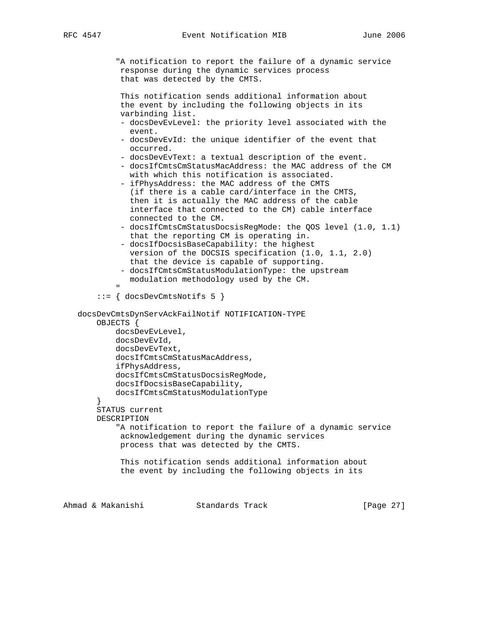"A notification to report the failure of a dynamic service response during the dynamic services process that was detected by the CMTS. This notification sends additional information about the event by including the following objects in its varbinding list. - docsDevEvLevel: the priority level associated with the event. - docsDevEvId: the unique identifier of the event that occurred. - docsDevEvText: a textual description of the event. - docsIfCmtsCmStatusMacAddress: the MAC address of the CM with which this notification is associated. - ifPhysAddress: the MAC address of the CMTS (if there is a cable card/interface in the CMTS, then it is actually the MAC address of the cable interface that connected to the CM) cable interface connected to the CM. - docsIfCmtsCmStatusDocsisRegMode: the QOS level (1.0, 1.1) that the reporting CM is operating in. - docsIfDocsisBaseCapability: the highest version of the DOCSIS specification (1.0, 1.1, 2.0) that the device is capable of supporting. - docsIfCmtsCmStatusModulationType: the upstream modulation methodology used by the CM. " "The Contract of the Contract of the Contract of the Contract of the Contract of the Contract of the Contract of the Contract of the Contract of the Contract of the Contract of the Contract of the Contract of the Contrac ::= { docsDevCmtsNotifs 5 } docsDevCmtsDynServAckFailNotif NOTIFICATION-TYPE OBJECTS { docsDevEvLevel, docsDevEvId, docsDevEvText, docsIfCmtsCmStatusMacAddress, ifPhysAddress, docsIfCmtsCmStatusDocsisRegMode, docsIfDocsisBaseCapability, docsIfCmtsCmStatusModulationType } STATUS current DESCRIPTION "A notification to report the failure of a dynamic service acknowledgement during the dynamic services process that was detected by the CMTS. This notification sends additional information about the event by including the following objects in its

Ahmad & Makanishi Standards Track [Page 27]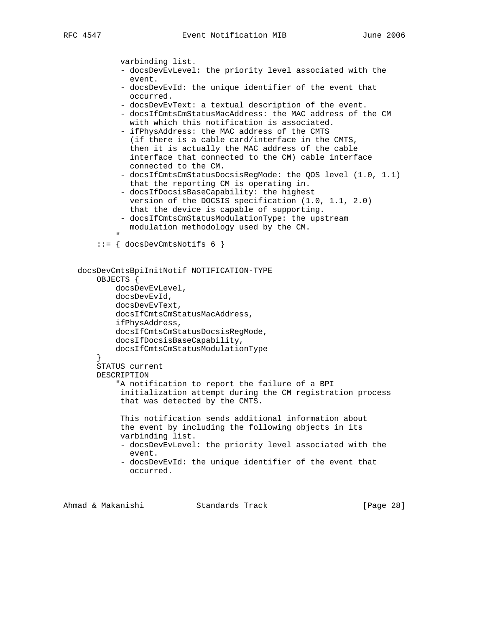```
 varbinding list.
              - docsDevEvLevel: the priority level associated with the
                 event.
              - docsDevEvId: the unique identifier of the event that
                occurred.
              - docsDevEvText: a textual description of the event.
              - docsIfCmtsCmStatusMacAddress: the MAC address of the CM
                with which this notification is associated.
              - ifPhysAddress: the MAC address of the CMTS
                (if there is a cable card/interface in the CMTS,
                then it is actually the MAC address of the cable
                 interface that connected to the CM) cable interface
                connected to the CM.
              - docsIfCmtsCmStatusDocsisRegMode: the QOS level (1.0, 1.1)
                 that the reporting CM is operating in.
              - docsIfDocsisBaseCapability: the highest
                version of the DOCSIS specification (1.0, 1.1, 2.0)
                that the device is capable of supporting.
              - docsIfCmtsCmStatusModulationType: the upstream
                modulation methodology used by the CM.
" "The Contract of the Contract of the Contract of the Contract of the Contract of the Contract of the Contract of the Contract of the Contract of the Contract of the Contract of the Contract of the Contract of the Contrac
         ::= { docsDevCmtsNotifs 6 }
    docsDevCmtsBpiInitNotif NOTIFICATION-TYPE
         OBJECTS {
             docsDevEvLevel,
             docsDevEvId,
             docsDevEvText,
             docsIfCmtsCmStatusMacAddress,
             ifPhysAddress,
             docsIfCmtsCmStatusDocsisRegMode,
             docsIfDocsisBaseCapability,
             docsIfCmtsCmStatusModulationType
 }
        STATUS current
        DESCRIPTION
             "A notification to report the failure of a BPI
              initialization attempt during the CM registration process
              that was detected by the CMTS.
              This notification sends additional information about
              the event by including the following objects in its
              varbinding list.
              - docsDevEvLevel: the priority level associated with the
                event.
              - docsDevEvId: the unique identifier of the event that
                occurred.
```
Ahmad & Makanishi Standards Track [Page 28]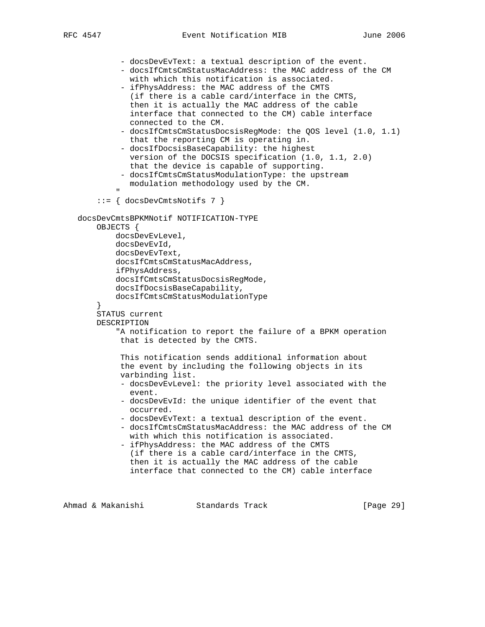```
 - docsDevEvText: a textual description of the event.
             - docsIfCmtsCmStatusMacAddress: the MAC address of the CM
              with which this notification is associated.
             - ifPhysAddress: the MAC address of the CMTS
               (if there is a cable card/interface in the CMTS,
               then it is actually the MAC address of the cable
               interface that connected to the CM) cable interface
              connected to the CM.
             - docsIfCmtsCmStatusDocsisRegMode: the QOS level (1.0, 1.1)
              that the reporting CM is operating in.
             - docsIfDocsisBaseCapability: the highest
              version of the DOCSIS specification (1.0, 1.1, 2.0)
              that the device is capable of supporting.
             - docsIfCmtsCmStatusModulationType: the upstream
              modulation methodology used by the CM.
 "
        ::= { docsDevCmtsNotifs 7 }
   docsDevCmtsBPKMNotif NOTIFICATION-TYPE
       OBJECTS {
            docsDevEvLevel,
            docsDevEvId,
            docsDevEvText,
            docsIfCmtsCmStatusMacAddress,
            ifPhysAddress,
            docsIfCmtsCmStatusDocsisRegMode,
            docsIfDocsisBaseCapability,
            docsIfCmtsCmStatusModulationType
 }
       STATUS current
       DESCRIPTION
            "A notification to report the failure of a BPKM operation
            that is detected by the CMTS.
             This notification sends additional information about
             the event by including the following objects in its
             varbinding list.
             - docsDevEvLevel: the priority level associated with the
               event.
             - docsDevEvId: the unique identifier of the event that
              occurred.
             - docsDevEvText: a textual description of the event.
             - docsIfCmtsCmStatusMacAddress: the MAC address of the CM
              with which this notification is associated.
             - ifPhysAddress: the MAC address of the CMTS
              (if there is a cable card/interface in the CMTS,
               then it is actually the MAC address of the cable
               interface that connected to the CM) cable interface
```
Ahmad & Makanishi Standards Track [Page 29]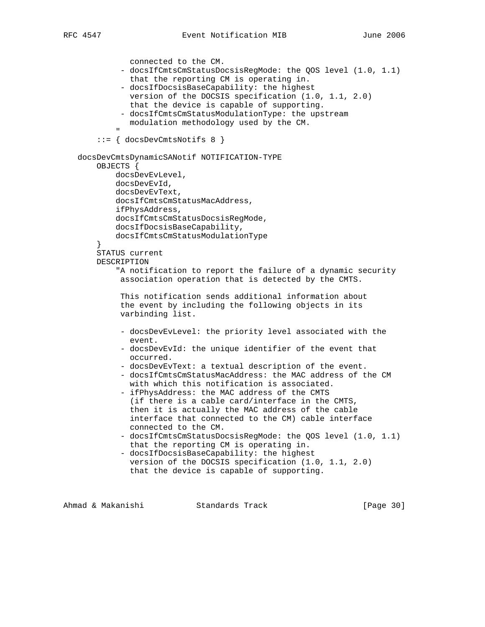```
 connected to the CM.
              - docsIfCmtsCmStatusDocsisRegMode: the QOS level (1.0, 1.1)
                that the reporting CM is operating in.
              - docsIfDocsisBaseCapability: the highest
                version of the DOCSIS specification (1.0, 1.1, 2.0)
                that the device is capable of supporting.
              - docsIfCmtsCmStatusModulationType: the upstream
                modulation methodology used by the CM.
" "The Contract of the Contract of the Contract of the Contract of the Contract of the Contract of the Contract of the Contract of the Contract of the Contract of the Contract of the Contract of the Contract of the Contrac
         ::= { docsDevCmtsNotifs 8 }
    docsDevCmtsDynamicSANotif NOTIFICATION-TYPE
        OBJECTS {
             docsDevEvLevel,
             docsDevEvId,
             docsDevEvText,
             docsIfCmtsCmStatusMacAddress,
             ifPhysAddress,
             docsIfCmtsCmStatusDocsisRegMode,
             docsIfDocsisBaseCapability,
             docsIfCmtsCmStatusModulationType
         }
        STATUS current
        DESCRIPTION
             "A notification to report the failure of a dynamic security
              association operation that is detected by the CMTS.
              This notification sends additional information about
              the event by including the following objects in its
              varbinding list.
              - docsDevEvLevel: the priority level associated with the
                event.
              - docsDevEvId: the unique identifier of the event that
                occurred.
              - docsDevEvText: a textual description of the event.
              - docsIfCmtsCmStatusMacAddress: the MAC address of the CM
                 with which this notification is associated.
              - ifPhysAddress: the MAC address of the CMTS
                 (if there is a cable card/interface in the CMTS,
                 then it is actually the MAC address of the cable
                 interface that connected to the CM) cable interface
                connected to the CM.
              - docsIfCmtsCmStatusDocsisRegMode: the QOS level (1.0, 1.1)
                 that the reporting CM is operating in.
              - docsIfDocsisBaseCapability: the highest
                 version of the DOCSIS specification (1.0, 1.1, 2.0)
                 that the device is capable of supporting.
```
Ahmad & Makanishi Standards Track [Page 30]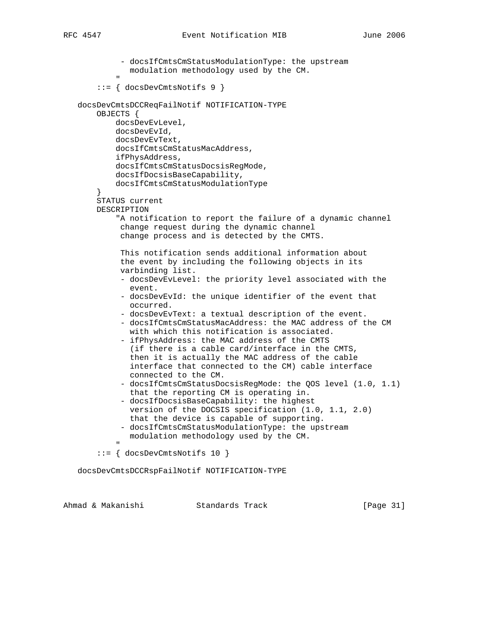- docsIfCmtsCmStatusModulationType: the upstream modulation methodology used by the CM. " "The Contract of the Contract of the Contract of the Contract of the Contract of the Contract of the Contract of the Contract of the Contract of the Contract of the Contract of the Contract of the Contract of the Contrac ::= { docsDevCmtsNotifs 9 } docsDevCmtsDCCReqFailNotif NOTIFICATION-TYPE OBJECTS { docsDevEvLevel, docsDevEvId, docsDevEvText, docsIfCmtsCmStatusMacAddress, ifPhysAddress, docsIfCmtsCmStatusDocsisRegMode, docsIfDocsisBaseCapability, docsIfCmtsCmStatusModulationType } STATUS current DESCRIPTION "A notification to report the failure of a dynamic channel change request during the dynamic channel change process and is detected by the CMTS. This notification sends additional information about the event by including the following objects in its varbinding list. - docsDevEvLevel: the priority level associated with the event. - docsDevEvId: the unique identifier of the event that occurred. - docsDevEvText: a textual description of the event. - docsIfCmtsCmStatusMacAddress: the MAC address of the CM with which this notification is associated. - ifPhysAddress: the MAC address of the CMTS (if there is a cable card/interface in the CMTS, then it is actually the MAC address of the cable interface that connected to the CM) cable interface connected to the CM. - docsIfCmtsCmStatusDocsisRegMode: the QOS level (1.0, 1.1) that the reporting CM is operating in. - docsIfDocsisBaseCapability: the highest version of the DOCSIS specification (1.0, 1.1, 2.0) that the device is capable of supporting. - docsIfCmtsCmStatusModulationType: the upstream modulation methodology used by the CM. " "The Contract of the Contract of the Contract of the Contract of the Contract of the Contract of the Contract of the Contract of the Contract of the Contract of the Contract of the Contract of the Contract of the Contrac ::= { docsDevCmtsNotifs 10 }

docsDevCmtsDCCRspFailNotif NOTIFICATION-TYPE

|  | Ahmad & Makanishi | Standards Track | [Page 31] |  |
|--|-------------------|-----------------|-----------|--|
|  |                   |                 |           |  |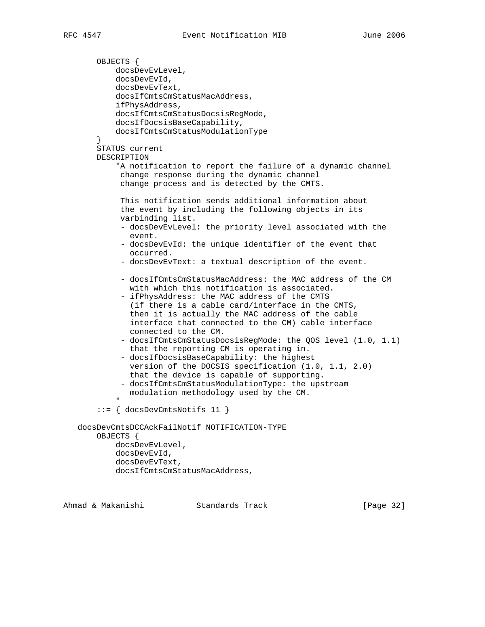```
 OBJECTS {
           docsDevEvLevel,
            docsDevEvId,
            docsDevEvText,
            docsIfCmtsCmStatusMacAddress,
            ifPhysAddress,
            docsIfCmtsCmStatusDocsisRegMode,
            docsIfDocsisBaseCapability,
            docsIfCmtsCmStatusModulationType
        }
       STATUS current
       DESCRIPTION
            "A notification to report the failure of a dynamic channel
             change response during the dynamic channel
             change process and is detected by the CMTS.
             This notification sends additional information about
             the event by including the following objects in its
             varbinding list.
             - docsDevEvLevel: the priority level associated with the
              event.
             - docsDevEvId: the unique identifier of the event that
              occurred.
             - docsDevEvText: a textual description of the event.
             - docsIfCmtsCmStatusMacAddress: the MAC address of the CM
               with which this notification is associated.
             - ifPhysAddress: the MAC address of the CMTS
               (if there is a cable card/interface in the CMTS,
               then it is actually the MAC address of the cable
               interface that connected to the CM) cable interface
              connected to the CM.
             - docsIfCmtsCmStatusDocsisRegMode: the QOS level (1.0, 1.1)
              that the reporting CM is operating in.
             - docsIfDocsisBaseCapability: the highest
              version of the DOCSIS specification (1.0, 1.1, 2.0)
               that the device is capable of supporting.
             - docsIfCmtsCmStatusModulationType: the upstream
               modulation methodology used by the CM.
 "
        ::= { docsDevCmtsNotifs 11 }
   docsDevCmtsDCCAckFailNotif NOTIFICATION-TYPE
        OBJECTS {
            docsDevEvLevel,
            docsDevEvId,
           docsDevEvText,
```

```
 docsIfCmtsCmStatusMacAddress,
```
Ahmad & Makanishi Standards Track [Page 32]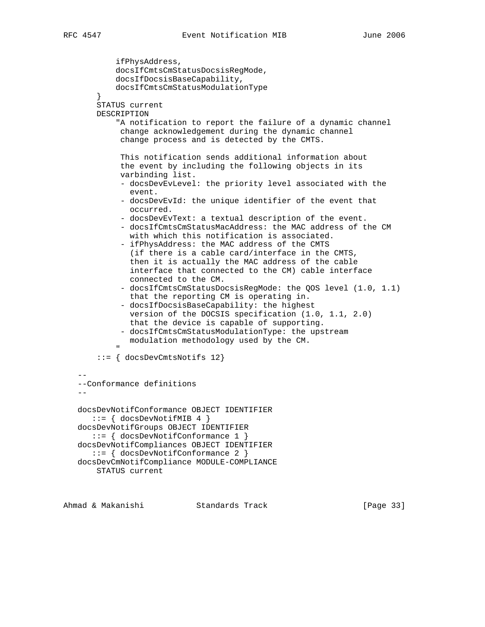```
 ifPhysAddress,
           docsIfCmtsCmStatusDocsisRegMode,
           docsIfDocsisBaseCapability,
           docsIfCmtsCmStatusModulationType
 }
       STATUS current
       DESCRIPTION
            "A notification to report the failure of a dynamic channel
             change acknowledgement during the dynamic channel
             change process and is detected by the CMTS.
             This notification sends additional information about
             the event by including the following objects in its
             varbinding list.
             - docsDevEvLevel: the priority level associated with the
               event.
             - docsDevEvId: the unique identifier of the event that
              occurred.
             - docsDevEvText: a textual description of the event.
             - docsIfCmtsCmStatusMacAddress: the MAC address of the CM
              with which this notification is associated.
             - ifPhysAddress: the MAC address of the CMTS
               (if there is a cable card/interface in the CMTS,
               then it is actually the MAC address of the cable
               interface that connected to the CM) cable interface
               connected to the CM.
             - docsIfCmtsCmStatusDocsisRegMode: the QOS level (1.0, 1.1)
               that the reporting CM is operating in.
             - docsIfDocsisBaseCapability: the highest
              version of the DOCSIS specification (1.0, 1.1, 2.0)
              that the device is capable of supporting.
             - docsIfCmtsCmStatusModulationType: the upstream
              modulation methodology used by the CM.
 "
        ::= { docsDevCmtsNotifs 12}
 --
    --Conformance definitions
- docsDevNotifConformance OBJECT IDENTIFIER
      ::= { docsDevNotifMIB 4 }
   docsDevNotifGroups OBJECT IDENTIFIER
      ::= { docsDevNotifConformance 1 }
   docsDevNotifCompliances OBJECT IDENTIFIER
      ::= { docsDevNotifConformance 2 }
   docsDevCmNotifCompliance MODULE-COMPLIANCE
       STATUS current
```
Ahmad & Makanishi Standards Track [Page 33]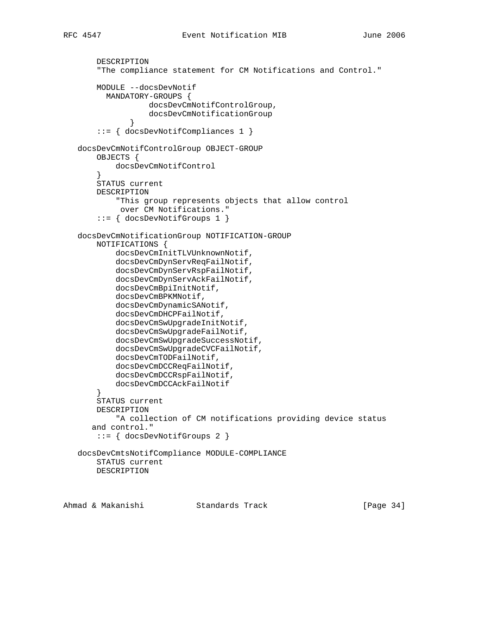```
 DESCRIPTION
        "The compliance statement for CM Notifications and Control."
       MODULE --docsDevNotif
          MANDATORY-GROUPS {
                   docsDevCmNotifControlGroup,
              docsDevCmNotificationGroup<br>}
 }
        ::= { docsDevNotifCompliances 1 }
   docsDevCmNotifControlGroup OBJECT-GROUP
       OBJECTS {
            docsDevCmNotifControl
 }
       STATUS current
       DESCRIPTION
            "This group represents objects that allow control
            over CM Notifications."
        ::= { docsDevNotifGroups 1 }
   docsDevCmNotificationGroup NOTIFICATION-GROUP
       NOTIFICATIONS {
            docsDevCmInitTLVUnknownNotif,
            docsDevCmDynServReqFailNotif,
            docsDevCmDynServRspFailNotif,
            docsDevCmDynServAckFailNotif,
            docsDevCmBpiInitNotif,
            docsDevCmBPKMNotif,
            docsDevCmDynamicSANotif,
            docsDevCmDHCPFailNotif,
            docsDevCmSwUpgradeInitNotif,
            docsDevCmSwUpgradeFailNotif,
            docsDevCmSwUpgradeSuccessNotif,
            docsDevCmSwUpgradeCVCFailNotif,
            docsDevCmTODFailNotif,
            docsDevCmDCCReqFailNotif,
            docsDevCmDCCRspFailNotif,
            docsDevCmDCCAckFailNotif
        }
       STATUS current
       DESCRIPTION
            "A collection of CM notifications providing device status
       and control."
        ::= { docsDevNotifGroups 2 }
   docsDevCmtsNotifCompliance MODULE-COMPLIANCE
       STATUS current
       DESCRIPTION
```
Ahmad & Makanishi Standards Track [Page 34]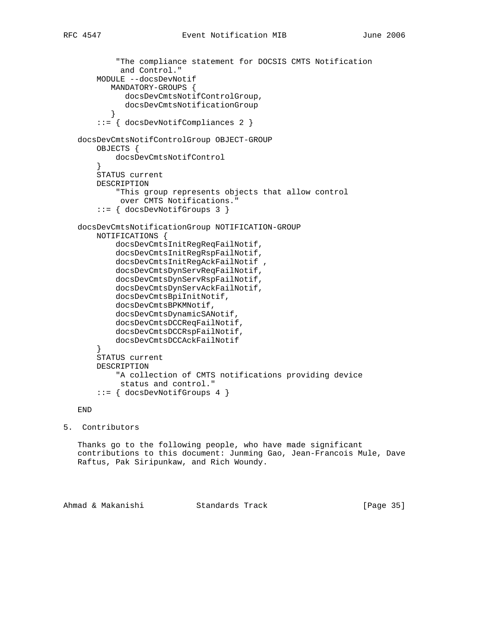```
 "The compliance statement for DOCSIS CMTS Notification
             and Control."
        MODULE --docsDevNotif
           MANDATORY-GROUPS {
              docsDevCmtsNotifControlGroup,
              docsDevCmtsNotificationGroup
 }
        ::= { docsDevNotifCompliances 2 }
   docsDevCmtsNotifControlGroup OBJECT-GROUP
        OBJECTS {
            docsDevCmtsNotifControl
        }
        STATUS current
        DESCRIPTION
            "This group represents objects that allow control
            over CMTS Notifications."
        ::= { docsDevNotifGroups 3 }
   docsDevCmtsNotificationGroup NOTIFICATION-GROUP
       NOTIFICATIONS {
            docsDevCmtsInitRegReqFailNotif,
            docsDevCmtsInitRegRspFailNotif,
           docsDevCmtsInitRegAckFailNotif ,
            docsDevCmtsDynServReqFailNotif,
            docsDevCmtsDynServRspFailNotif,
            docsDevCmtsDynServAckFailNotif,
            docsDevCmtsBpiInitNotif,
            docsDevCmtsBPKMNotif,
            docsDevCmtsDynamicSANotif,
            docsDevCmtsDCCReqFailNotif,
            docsDevCmtsDCCRspFailNotif,
            docsDevCmtsDCCAckFailNotif
        }
       STATUS current
       DESCRIPTION
            "A collection of CMTS notifications providing device
            status and control."
        ::= { docsDevNotifGroups 4 }
```
END

```
5. Contributors
```
 Thanks go to the following people, who have made significant contributions to this document: Junming Gao, Jean-Francois Mule, Dave Raftus, Pak Siripunkaw, and Rich Woundy.

Ahmad & Makanishi Standards Track [Page 35]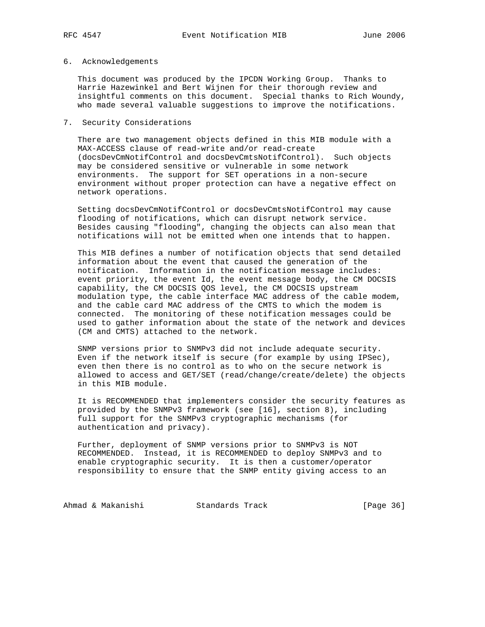# 6. Acknowledgements

 This document was produced by the IPCDN Working Group. Thanks to Harrie Hazewinkel and Bert Wijnen for their thorough review and insightful comments on this document. Special thanks to Rich Woundy, who made several valuable suggestions to improve the notifications.

## 7. Security Considerations

 There are two management objects defined in this MIB module with a MAX-ACCESS clause of read-write and/or read-create (docsDevCmNotifControl and docsDevCmtsNotifControl). Such objects may be considered sensitive or vulnerable in some network environments. The support for SET operations in a non-secure environment without proper protection can have a negative effect on network operations.

 Setting docsDevCmNotifControl or docsDevCmtsNotifControl may cause flooding of notifications, which can disrupt network service. Besides causing "flooding", changing the objects can also mean that notifications will not be emitted when one intends that to happen.

 This MIB defines a number of notification objects that send detailed information about the event that caused the generation of the notification. Information in the notification message includes: event priority, the event Id, the event message body, the CM DOCSIS capability, the CM DOCSIS QOS level, the CM DOCSIS upstream modulation type, the cable interface MAC address of the cable modem, and the cable card MAC address of the CMTS to which the modem is connected. The monitoring of these notification messages could be used to gather information about the state of the network and devices (CM and CMTS) attached to the network.

 SNMP versions prior to SNMPv3 did not include adequate security. Even if the network itself is secure (for example by using IPSec), even then there is no control as to who on the secure network is allowed to access and GET/SET (read/change/create/delete) the objects in this MIB module.

 It is RECOMMENDED that implementers consider the security features as provided by the SNMPv3 framework (see [16], section 8), including full support for the SNMPv3 cryptographic mechanisms (for authentication and privacy).

 Further, deployment of SNMP versions prior to SNMPv3 is NOT RECOMMENDED. Instead, it is RECOMMENDED to deploy SNMPv3 and to enable cryptographic security. It is then a customer/operator responsibility to ensure that the SNMP entity giving access to an

Ahmad & Makanishi Standards Track [Page 36]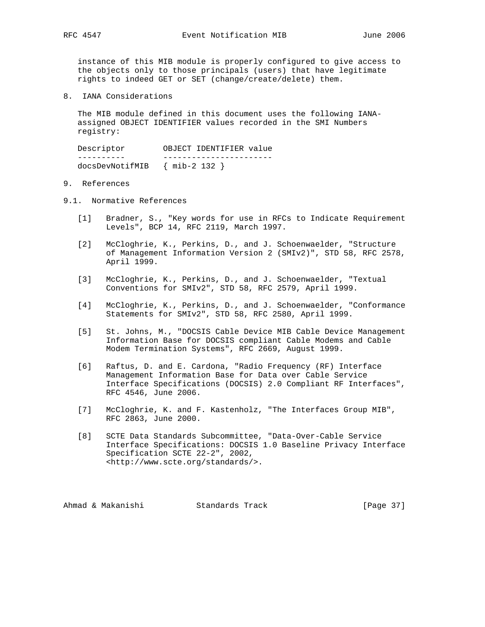instance of this MIB module is properly configured to give access to the objects only to those principals (users) that have legitimate rights to indeed GET or SET (change/create/delete) them.

8. IANA Considerations

 The MIB module defined in this document uses the following IANA assigned OBJECT IDENTIFIER values recorded in the SMI Numbers registry:

 Descriptor OBJECT IDENTIFIER value ---------- ---------------------- docsDevNotifMIB { mib-2 132 }

- 9. References
- 9.1. Normative References
	- [1] Bradner, S., "Key words for use in RFCs to Indicate Requirement Levels", BCP 14, RFC 2119, March 1997.
	- [2] McCloghrie, K., Perkins, D., and J. Schoenwaelder, "Structure of Management Information Version 2 (SMIv2)", STD 58, RFC 2578, April 1999.
	- [3] McCloghrie, K., Perkins, D., and J. Schoenwaelder, "Textual Conventions for SMIv2", STD 58, RFC 2579, April 1999.
	- [4] McCloghrie, K., Perkins, D., and J. Schoenwaelder, "Conformance Statements for SMIv2", STD 58, RFC 2580, April 1999.
	- [5] St. Johns, M., "DOCSIS Cable Device MIB Cable Device Management Information Base for DOCSIS compliant Cable Modems and Cable Modem Termination Systems", RFC 2669, August 1999.
	- [6] Raftus, D. and E. Cardona, "Radio Frequency (RF) Interface Management Information Base for Data over Cable Service Interface Specifications (DOCSIS) 2.0 Compliant RF Interfaces", RFC 4546, June 2006.
	- [7] McCloghrie, K. and F. Kastenholz, "The Interfaces Group MIB", RFC 2863, June 2000.
	- [8] SCTE Data Standards Subcommittee, "Data-Over-Cable Service Interface Specifications: DOCSIS 1.0 Baseline Privacy Interface Specification SCTE 22-2", 2002, <http://www.scte.org/standards/>.

Ahmad & Makanishi Standards Track [Page 37]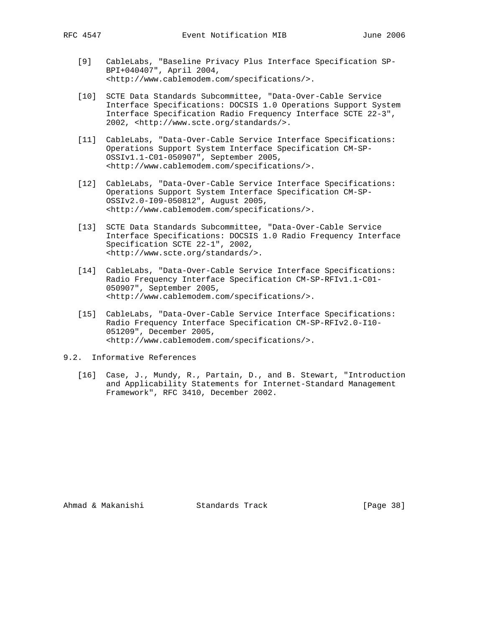- [9] CableLabs, "Baseline Privacy Plus Interface Specification SP- BPI+040407", April 2004, <http://www.cablemodem.com/specifications/>.
- [10] SCTE Data Standards Subcommittee, "Data-Over-Cable Service Interface Specifications: DOCSIS 1.0 Operations Support System Interface Specification Radio Frequency Interface SCTE 22-3", 2002, <http://www.scte.org/standards/>.
- [11] CableLabs, "Data-Over-Cable Service Interface Specifications: Operations Support System Interface Specification CM-SP- OSSIv1.1-C01-050907", September 2005, <http://www.cablemodem.com/specifications/>.
- [12] CableLabs, "Data-Over-Cable Service Interface Specifications: Operations Support System Interface Specification CM-SP- OSSIv2.0-I09-050812", August 2005, <http://www.cablemodem.com/specifications/>.
- [13] SCTE Data Standards Subcommittee, "Data-Over-Cable Service Interface Specifications: DOCSIS 1.0 Radio Frequency Interface Specification SCTE 22-1", 2002, <http://www.scte.org/standards/>.
- [14] CableLabs, "Data-Over-Cable Service Interface Specifications: Radio Frequency Interface Specification CM-SP-RFIv1.1-C01- 050907", September 2005, <http://www.cablemodem.com/specifications/>.
- [15] CableLabs, "Data-Over-Cable Service Interface Specifications: Radio Frequency Interface Specification CM-SP-RFIv2.0-I10- 051209", December 2005, <http://www.cablemodem.com/specifications/>.
- 9.2. Informative References
	- [16] Case, J., Mundy, R., Partain, D., and B. Stewart, "Introduction and Applicability Statements for Internet-Standard Management Framework", RFC 3410, December 2002.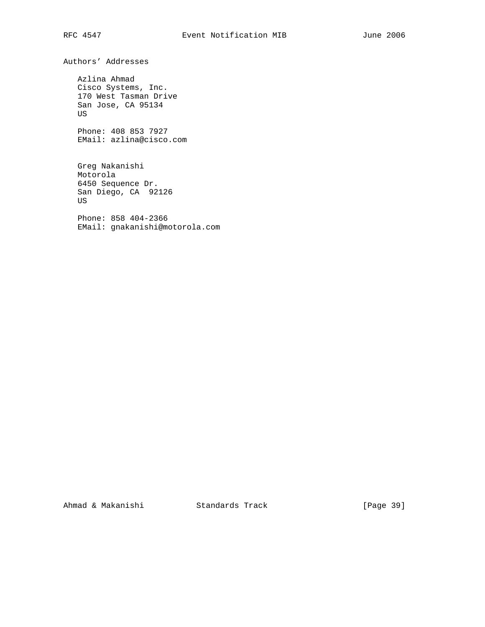Authors' Addresses

 Azlina Ahmad Cisco Systems, Inc. 170 West Tasman Drive San Jose, CA 95134 US

 Phone: 408 853 7927 EMail: azlina@cisco.com

 Greg Nakanishi Motorola 6450 Sequence Dr. San Diego, CA 92126 US

 Phone: 858 404-2366 EMail: gnakanishi@motorola.com